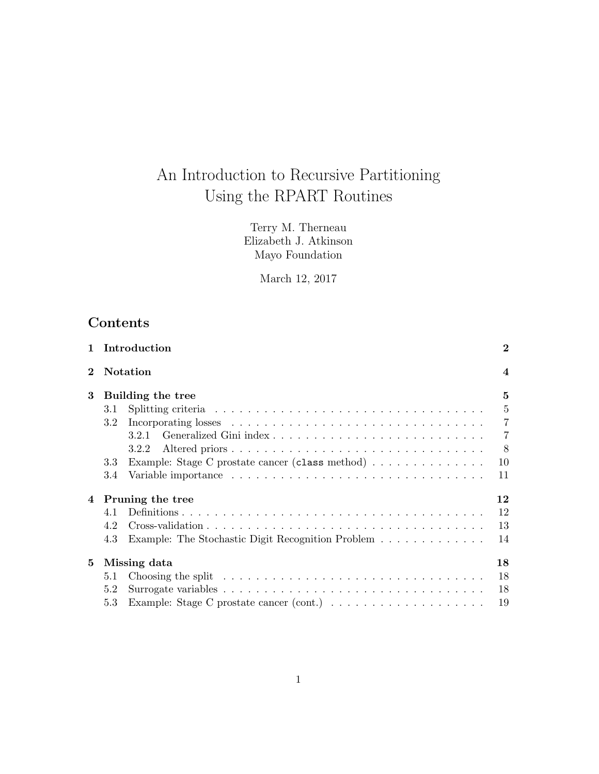# An Introduction to Recursive Partitioning Using the RPART Routines

Terry M. Therneau Elizabeth J. Atkinson Mayo Foundation

March 12, 2017

## Contents

| $\mathbf{1}$ |     | Introduction                                                                                                 | $\overline{2}$ |
|--------------|-----|--------------------------------------------------------------------------------------------------------------|----------------|
| $\mathbf 2$  |     | <b>Notation</b>                                                                                              | $\overline{4}$ |
| 3            |     | Building the tree                                                                                            | 5              |
|              | 3.1 |                                                                                                              | $\overline{5}$ |
|              | 3.2 |                                                                                                              | $\overline{7}$ |
|              |     | 3.2.1                                                                                                        | $\overline{7}$ |
|              |     | 3.2.2                                                                                                        | 8              |
|              | 3.3 | Example: Stage C prostate cancer (class method)                                                              | 10             |
|              | 3.4 |                                                                                                              | 11             |
|              |     | 4 Pruning the tree                                                                                           | 12             |
|              | 4.1 |                                                                                                              | 12             |
|              | 4.2 | $Cross-validation \dots \dots \dots \dots \dots \dots \dots \dots \dots \dots \dots \dots \dots \dots \dots$ | 13             |
|              | 4.3 | Example: The Stochastic Digit Recognition Problem                                                            | 14             |
| 5            |     | Missing data                                                                                                 | 18             |
|              | 5.1 | Choosing the split $\ldots \ldots \ldots \ldots \ldots \ldots \ldots \ldots \ldots \ldots \ldots$            | 18             |
|              | 5.2 |                                                                                                              | 18             |
|              | 5.3 |                                                                                                              | 19             |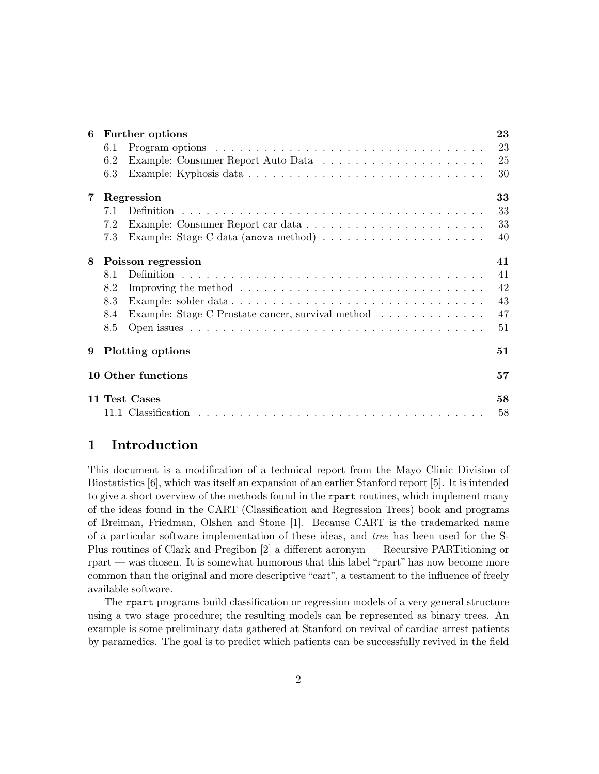| 6 |     | Further options                                                                                | 23 |
|---|-----|------------------------------------------------------------------------------------------------|----|
|   | 6.1 |                                                                                                | 23 |
|   | 6.2 |                                                                                                | 25 |
|   | 6.3 | Example: Kyphosis data                                                                         | 30 |
| 7 |     | Regression                                                                                     | 33 |
|   | 7.1 |                                                                                                | 33 |
|   | 7.2 |                                                                                                | 33 |
|   | 7.3 |                                                                                                | 40 |
| 8 |     | Poisson regression                                                                             | 41 |
|   | 8.1 |                                                                                                | 41 |
|   | 8.2 | Improving the method $\dots \dots \dots \dots \dots \dots \dots \dots \dots \dots \dots \dots$ | 42 |
|   | 8.3 |                                                                                                | 43 |
|   | 8.4 | Example: Stage C Prostate cancer, survival method                                              | 47 |
|   | 8.5 |                                                                                                | 51 |
| 9 |     | Plotting options                                                                               | 51 |
|   |     | 10 Other functions                                                                             | 57 |
|   |     | 11 Test Cases                                                                                  | 58 |
|   |     |                                                                                                | 58 |

## 1 Introduction

This document is a modification of a technical report from the Mayo Clinic Division of Biostatistics [6], which was itself an expansion of an earlier Stanford report [5]. It is intended to give a short overview of the methods found in the report routines, which implement many of the ideas found in the CART (Classification and Regression Trees) book and programs of Breiman, Friedman, Olshen and Stone [1]. Because CART is the trademarked name of a particular software implementation of these ideas, and tree has been used for the S-Plus routines of Clark and Pregibon [2] a different acronym — Recursive PARTitioning or rpart — was chosen. It is somewhat humorous that this label "rpart" has now become more common than the original and more descriptive "cart", a testament to the influence of freely available software.

The rpart programs build classification or regression models of a very general structure using a two stage procedure; the resulting models can be represented as binary trees. An example is some preliminary data gathered at Stanford on revival of cardiac arrest patients by paramedics. The goal is to predict which patients can be successfully revived in the field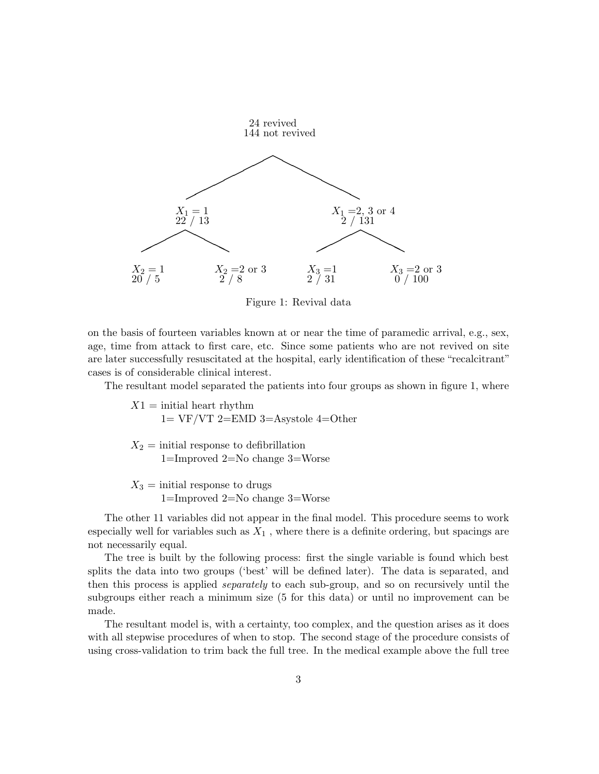

Figure 1: Revival data

on the basis of fourteen variables known at or near the time of paramedic arrival, e.g., sex, age, time from attack to first care, etc. Since some patients who are not revived on site are later successfully resuscitated at the hospital, early identification of these "recalcitrant" cases is of considerable clinical interest.

The resultant model separated the patients into four groups as shown in figure 1, where

 $X1 = \text{initial heart rhythm}$  $1=VF/VT$  2=EMD 3=Asystole 4=Other

 $X_2 = \text{initial response to definition}$ 1=Improved 2=No change 3=Worse

 $X_3 = \text{initial response to drugs}$ 1=Improved 2=No change 3=Worse

The other 11 variables did not appear in the final model. This procedure seems to work especially well for variables such as  $X_1$ , where there is a definite ordering, but spacings are not necessarily equal.

The tree is built by the following process: first the single variable is found which best splits the data into two groups ('best' will be defined later). The data is separated, and then this process is applied separately to each sub-group, and so on recursively until the subgroups either reach a minimum size (5 for this data) or until no improvement can be made.

The resultant model is, with a certainty, too complex, and the question arises as it does with all stepwise procedures of when to stop. The second stage of the procedure consists of using cross-validation to trim back the full tree. In the medical example above the full tree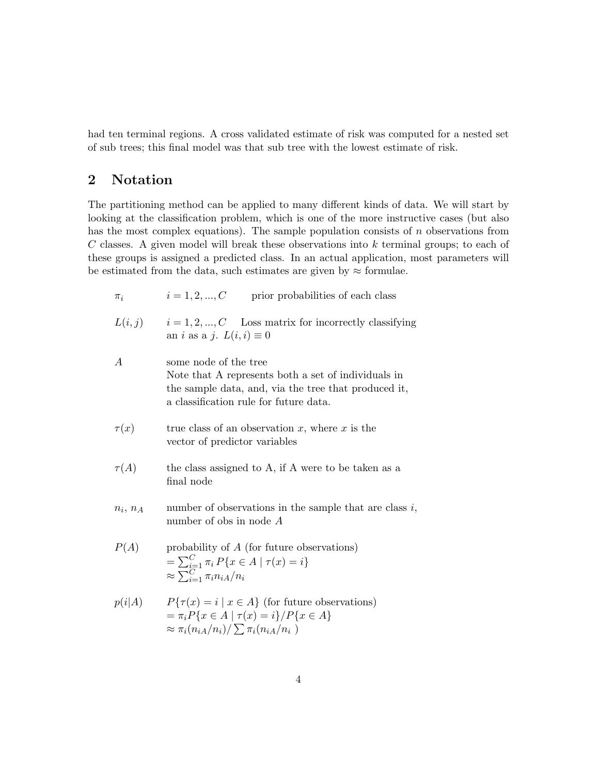had ten terminal regions. A cross validated estimate of risk was computed for a nested set of sub trees; this final model was that sub tree with the lowest estimate of risk.

## 2 Notation

The partitioning method can be applied to many different kinds of data. We will start by looking at the classification problem, which is one of the more instructive cases (but also has the most complex equations). The sample population consists of  $n$  observations from  $C$  classes. A given model will break these observations into  $k$  terminal groups; to each of these groups is assigned a predicted class. In an actual application, most parameters will be estimated from the data, such estimates are given by  $\approx$  formulae.

| $i = 1, 2, , C$<br>$\pi_i$ | prior probabilities of each class |
|----------------------------|-----------------------------------|
|----------------------------|-----------------------------------|

 $L(i, j)$  i = 1, 2, ..., C Loss matrix for incorrectly classifying an *i* as a *j*.  $L(i, i) \equiv 0$ 

| А             | some node of the tree<br>Note that A represents both a set of individuals in<br>the sample data, and, via the tree that produced it,<br>a classification rule for future data. |
|---------------|--------------------------------------------------------------------------------------------------------------------------------------------------------------------------------|
| $\tau(x)$     | true class of an observation $x$ , where $x$ is the<br>vector of predictor variables                                                                                           |
| $\tau(A)$     | the class assigned to A, if A were to be taken as a<br>final node                                                                                                              |
| $n_i$ , $n_A$ | number of observations in the sample that are class $i$ ,<br>number of obs in node $A$                                                                                         |
| P(A)          | probability of $A$ (for future observations)<br>$= \sum_{i=1}^{C} \pi_i P\{x \in A \mid \tau(x) = i\}$<br>$\approx \sum_{i=1}^{C} \pi_i n_{iA}/n_i$                            |
| p(i A)        | $P\{\tau(x) = i \mid x \in A\}$ (for future observations)<br>$=\pi_i P\{x \in A \mid \tau(x) = i\}/P\{x \in A\}$<br>$\approx \pi_i(n_{iA}/n_i)/\sum \pi_i(n_{iA}/n_i)$         |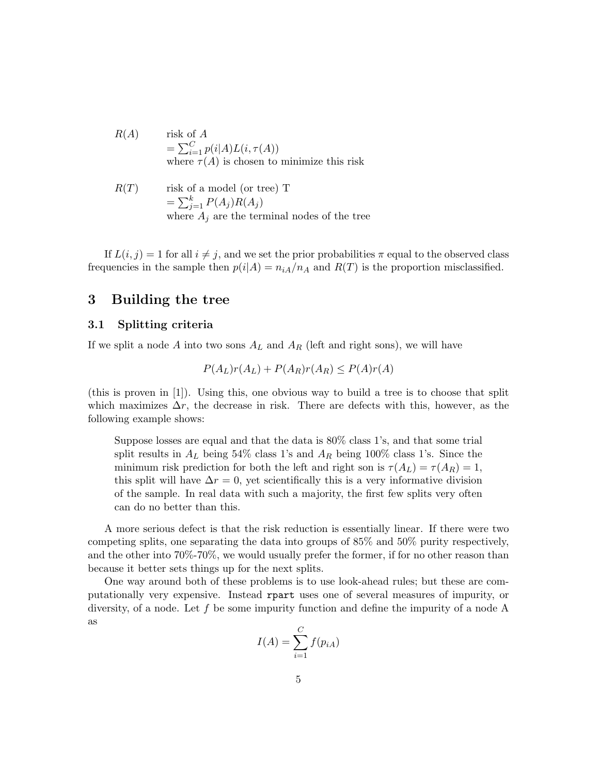$$
R(A) \qquad \text{risk of } A
$$
  
=  $\sum_{i=1}^{C} p(i|A) L(i, \tau(A))$   
where  $\tau(A)$  is chosen to minimize this risk

$$
R(T) \qquad \text{risk of a model (or tree) T}
$$
  
=  $\sum_{j=1}^{k} P(A_j)R(A_j)$   
where  $A_j$  are the terminal nodes of the tree

If  $L(i, j) = 1$  for all  $i \neq j$ , and we set the prior probabilities  $\pi$  equal to the observed class frequencies in the sample then  $p(i|A) = n_{iA}/n_A$  and  $R(T)$  is the proportion misclassified.

## 3 Building the tree

## 3.1 Splitting criteria

If we split a node A into two sons  $A_L$  and  $A_R$  (left and right sons), we will have

$$
P(A_L)r(A_L) + P(A_R)r(A_R) \le P(A)r(A)
$$

(this is proven in [1]). Using this, one obvious way to build a tree is to choose that split which maximizes  $\Delta r$ , the decrease in risk. There are defects with this, however, as the following example shows:

Suppose losses are equal and that the data is 80% class 1's, and that some trial split results in  $A_L$  being 54% class 1's and  $A_R$  being 100% class 1's. Since the minimum risk prediction for both the left and right son is  $\tau(A_L) = \tau(A_R) = 1$ , this split will have  $\Delta r = 0$ , yet scientifically this is a very informative division of the sample. In real data with such a majority, the first few splits very often can do no better than this.

A more serious defect is that the risk reduction is essentially linear. If there were two competing splits, one separating the data into groups of 85% and 50% purity respectively, and the other into 70%-70%, we would usually prefer the former, if for no other reason than because it better sets things up for the next splits.

One way around both of these problems is to use look-ahead rules; but these are computationally very expensive. Instead rpart uses one of several measures of impurity, or diversity, of a node. Let f be some impurity function and define the impurity of a node A as

$$
I(A) = \sum_{i=1}^{C} f(p_{iA})
$$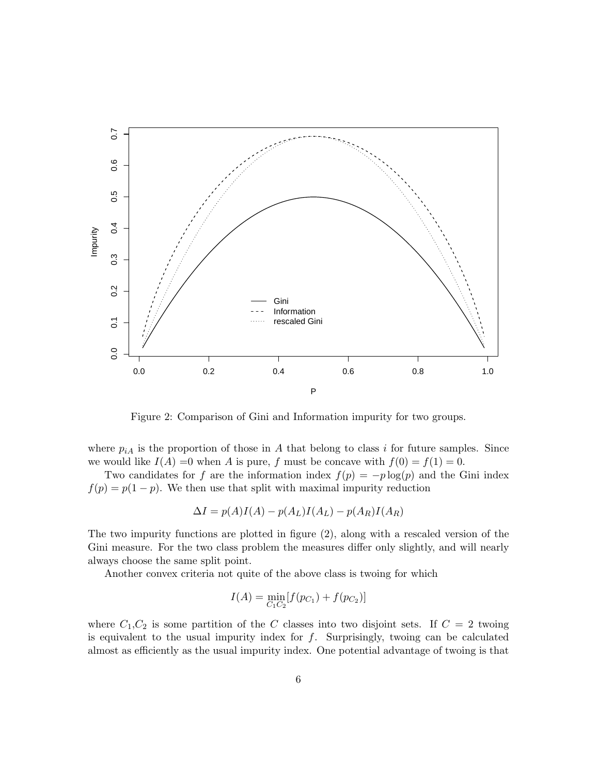

Figure 2: Comparison of Gini and Information impurity for two groups.

where  $p_{iA}$  is the proportion of those in A that belong to class i for future samples. Since we would like  $I(A) = 0$  when A is pure, f must be concave with  $f(0) = f(1) = 0$ .

Two candidates for f are the information index  $f(p) = -p \log(p)$  and the Gini index  $f(p) = p(1-p)$ . We then use that split with maximal impurity reduction

$$
\Delta I = p(A)I(A) - p(A_L)I(A_L) - p(A_R)I(A_R)
$$

The two impurity functions are plotted in figure (2), along with a rescaled version of the Gini measure. For the two class problem the measures differ only slightly, and will nearly always choose the same split point.

Another convex criteria not quite of the above class is twoing for which

$$
I(A) = \min_{C_1 C_2} [f(p_{C_1}) + f(p_{C_2})]
$$

where  $C_1, C_2$  is some partition of the C classes into two disjoint sets. If  $C = 2$  twoing is equivalent to the usual impurity index for  $f$ . Surprisingly, twoing can be calculated almost as efficiently as the usual impurity index. One potential advantage of twoing is that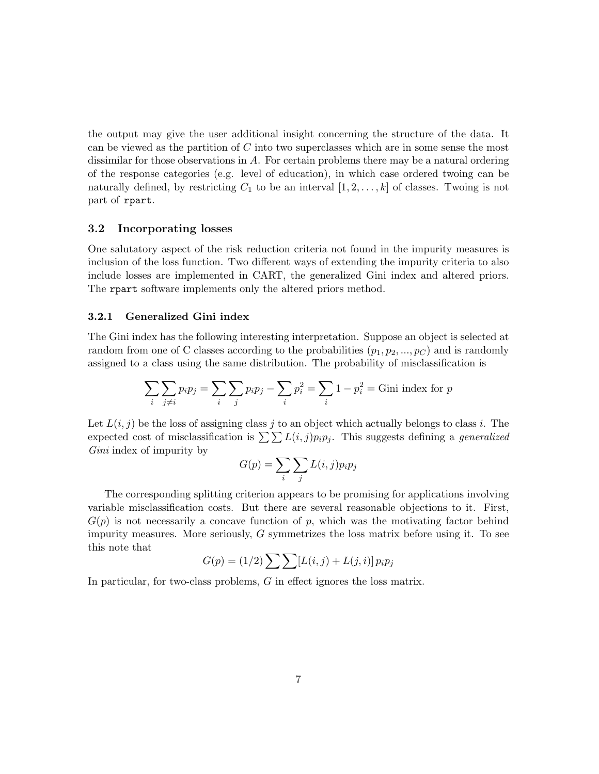the output may give the user additional insight concerning the structure of the data. It can be viewed as the partition of  $C$  into two superclasses which are in some sense the most dissimilar for those observations in A. For certain problems there may be a natural ordering of the response categories (e.g. level of education), in which case ordered twoing can be naturally defined, by restricting  $C_1$  to be an interval  $[1, 2, \ldots, k]$  of classes. Twoing is not part of rpart.

#### 3.2 Incorporating losses

One salutatory aspect of the risk reduction criteria not found in the impurity measures is inclusion of the loss function. Two different ways of extending the impurity criteria to also include losses are implemented in CART, the generalized Gini index and altered priors. The rpart software implements only the altered priors method.

### 3.2.1 Generalized Gini index

The Gini index has the following interesting interpretation. Suppose an object is selected at random from one of C classes according to the probabilities  $(p_1, p_2, ..., p_C)$  and is randomly assigned to a class using the same distribution. The probability of misclassification is

$$
\sum_{i} \sum_{j \neq i} p_i p_j = \sum_{i} \sum_{j} p_i p_j - \sum_{i} p_i^2 = \sum_{i} 1 - p_i^2 = \text{Gini index for } p
$$

Let  $L(i, j)$  be the loss of assigning class j to an object which actually belongs to class i. The expected cost of misclassification is  $\sum \sum L(i, j)p_i p_j$ . This suggests defining a *generalized* Gini index of impurity by

$$
G(p) = \sum_{i} \sum_{j} L(i, j) p_i p_j
$$

The corresponding splitting criterion appears to be promising for applications involving variable misclassification costs. But there are several reasonable objections to it. First,  $G(p)$  is not necessarily a concave function of p, which was the motivating factor behind impurity measures. More seriously,  $G$  symmetrizes the loss matrix before using it. To see this note that

$$
G(p) = (1/2) \sum \sum [L(i, j) + L(j, i)] p_i p_j
$$

In particular, for two-class problems, G in effect ignores the loss matrix.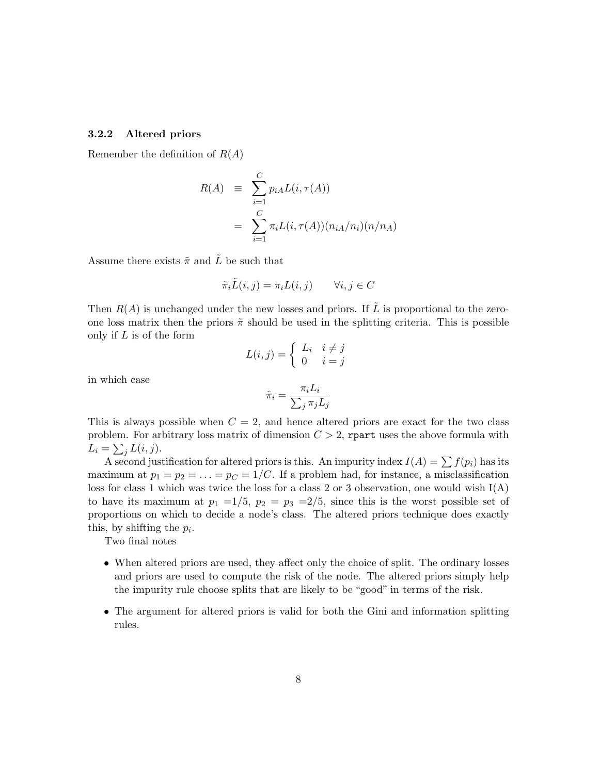#### 3.2.2 Altered priors

Remember the definition of  $R(A)$ 

$$
R(A) \equiv \sum_{i=1}^{C} p_{iA} L(i, \tau(A))
$$

$$
= \sum_{i=1}^{C} \pi_i L(i, \tau(A)) (n_{iA}/n_i) (n/n_A)
$$

Assume there exists  $\tilde{\pi}$  and  $\tilde{L}$  be such that

$$
\tilde{\pi}_i \tilde{L}(i,j) = \pi_i L(i,j) \qquad \forall i, j \in C
$$

Then  $R(A)$  is unchanged under the new losses and priors. If  $\tilde{L}$  is proportional to the zeroone loss matrix then the priors  $\tilde{\pi}$  should be used in the splitting criteria. This is possible only if L is of the form

$$
L(i,j) = \begin{cases} L_i & i \neq j \\ 0 & i = j \end{cases}
$$

in which case

$$
\tilde{\pi}_i = \frac{\pi_i L_i}{\sum_j \pi_j L_j}
$$

This is always possible when  $C = 2$ , and hence altered priors are exact for the two class problem. For arbitrary loss matrix of dimension  $C > 2$ , repart uses the above formula with  $L_i = \sum_j L(i, j).$ 

A second justification for altered priors is this. An impurity index  $I(A) = \sum f(p_i)$  has its maximum at  $p_1 = p_2 = \ldots = p_C = 1/C$ . If a problem had, for instance, a misclassification loss for class 1 which was twice the loss for a class 2 or 3 observation, one would wish I(A) to have its maximum at  $p_1 = 1/5$ ,  $p_2 = p_3 = 2/5$ , since this is the worst possible set of proportions on which to decide a node's class. The altered priors technique does exactly this, by shifting the  $p_i$ .

Two final notes

- When altered priors are used, they affect only the choice of split. The ordinary losses and priors are used to compute the risk of the node. The altered priors simply help the impurity rule choose splits that are likely to be "good" in terms of the risk.
- The argument for altered priors is valid for both the Gini and information splitting rules.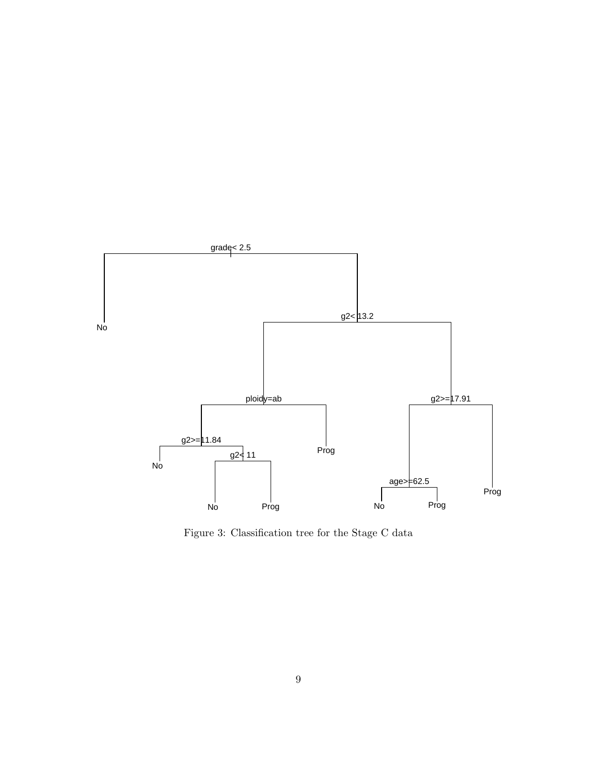

Figure 3: Classification tree for the Stage C data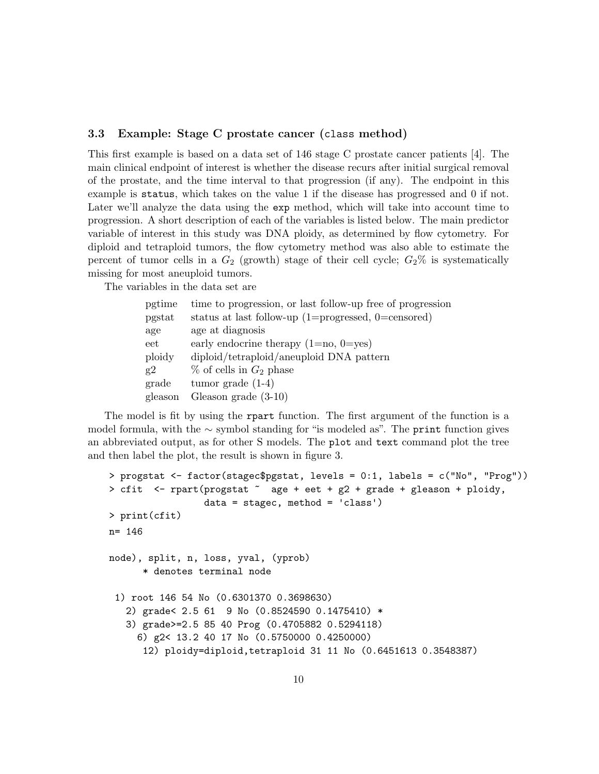### 3.3 Example: Stage C prostate cancer (class method)

This first example is based on a data set of 146 stage C prostate cancer patients [4]. The main clinical endpoint of interest is whether the disease recurs after initial surgical removal of the prostate, and the time interval to that progression (if any). The endpoint in this example is status, which takes on the value 1 if the disease has progressed and 0 if not. Later we'll analyze the data using the exp method, which will take into account time to progression. A short description of each of the variables is listed below. The main predictor variable of interest in this study was DNA ploidy, as determined by flow cytometry. For diploid and tetraploid tumors, the flow cytometry method was also able to estimate the percent of tumor cells in a  $G_2$  (growth) stage of their cell cycle;  $G_2\%$  is systematically missing for most aneuploid tumors.

The variables in the data set are

| pgtime  | time to progression, or last follow-up free of progression |
|---------|------------------------------------------------------------|
| pgstat  | status at last follow-up $(1=$ progressed, 0=censored)     |
| age     | age at diagnosis                                           |
| $e$ et  | early endocrine therapy $(1=no, 0=yes)$                    |
| ploidy  | diploid/tetraploid/aneuploid DNA pattern                   |
| g2      | $\%$ of cells in $G_2$ phase                               |
| grade   | tumor grade $(1-4)$                                        |
| gleason | Gleason grade $(3-10)$                                     |
|         |                                                            |

The model is fit by using the rpart function. The first argument of the function is a model formula, with the  $\sim$  symbol standing for "is modeled as". The print function gives an abbreviated output, as for other S models. The plot and text command plot the tree and then label the plot, the result is shown in figure 3.

```
> progstat <- factor(stagec$pgstat, levels = 0:1, labels = c("No", "Prog"))
> cfit <- rpart(progstat ~ age + eet + g2 + grade + gleason + ploidy,
                 data = stagec, method = 'class')
> print(cfit)
n= 146
node), split, n, loss, yval, (yprob)
      * denotes terminal node
 1) root 146 54 No (0.6301370 0.3698630)
   2) grade< 2.5 61 9 No (0.8524590 0.1475410) *
   3) grade>=2.5 85 40 Prog (0.4705882 0.5294118)
     6) g2< 13.2 40 17 No (0.5750000 0.4250000)
      12) ploidy=diploid,tetraploid 31 11 No (0.6451613 0.3548387)
```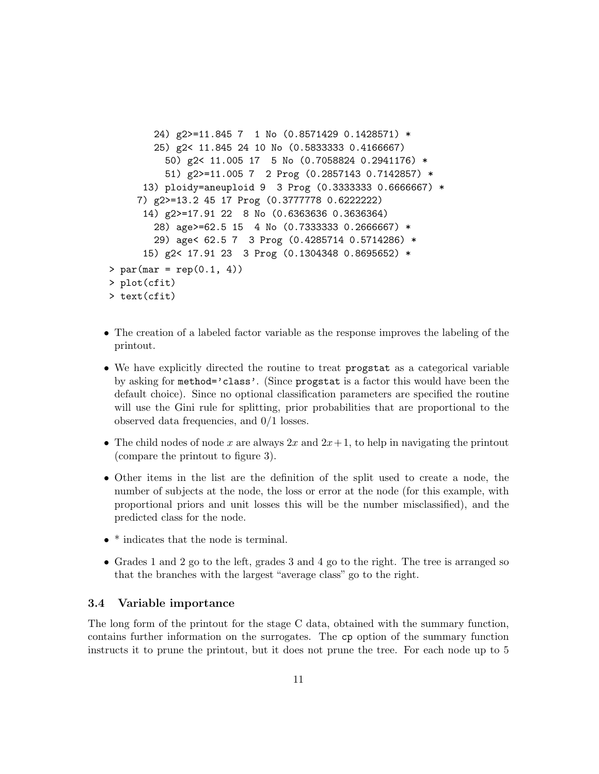```
24) g2>=11.845 7 1 No (0.8571429 0.1428571) *
        25) g2< 11.845 24 10 No (0.5833333 0.4166667)
          50) g2< 11.005 17 5 No (0.7058824 0.2941176) *
          51) g2>=11.005 7 2 Prog (0.2857143 0.7142857) *
      13) ploidy=aneuploid 9 3 Prog (0.3333333 0.6666667) *
     7) g2>=13.2 45 17 Prog (0.3777778 0.6222222)
      14) g2>=17.91 22 8 No (0.6363636 0.3636364)
        28) age>=62.5 15 4 No (0.7333333 0.2666667) *
        29) age< 62.5 7 3 Prog (0.4285714 0.5714286) *
      15) g2< 17.91 23 3 Prog (0.1304348 0.8695652) *
> par(max = rep(0.1, 4))> plot(cfit)
> text(cfit)
```
- The creation of a labeled factor variable as the response improves the labeling of the printout.
- We have explicitly directed the routine to treat progstat as a categorical variable by asking for method='class'. (Since progstat is a factor this would have been the default choice). Since no optional classification parameters are specified the routine will use the Gini rule for splitting, prior probabilities that are proportional to the observed data frequencies, and 0/1 losses.
- The child nodes of node x are always  $2x$  and  $2x+1$ , to help in navigating the printout (compare the printout to figure 3).
- Other items in the list are the definition of the split used to create a node, the number of subjects at the node, the loss or error at the node (for this example, with proportional priors and unit losses this will be the number misclassified), and the predicted class for the node.
- \* indicates that the node is terminal.
- Grades 1 and 2 go to the left, grades 3 and 4 go to the right. The tree is arranged so that the branches with the largest "average class" go to the right.

### 3.4 Variable importance

The long form of the printout for the stage C data, obtained with the summary function, contains further information on the surrogates. The cp option of the summary function instructs it to prune the printout, but it does not prune the tree. For each node up to 5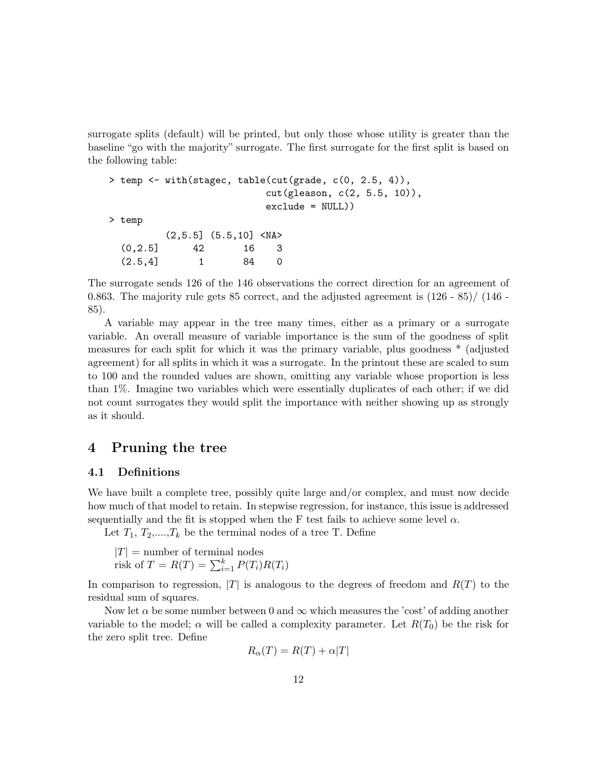surrogate splits (default) will be printed, but only those whose utility is greater than the baseline "go with the majority" surrogate. The first surrogate for the first split is based on the following table:

```
> temp <- with(stagec, table(cut(grade, c(0, 2.5, 4)),
                            cut(gleason, c(2, 5.5, 10)),
                            exclude = NULL))
> temp
          (2, 5.5] (5.5, 10] \langle \text{NA} \rangle(0,2.5] 42 16 3
  (2.5, 4] 1 84 0
```
The surrogate sends 126 of the 146 observations the correct direction for an agreement of 0.863. The majority rule gets 85 correct, and the adjusted agreement is  $(126 - 85) / (146 - 125)$ 85).

A variable may appear in the tree many times, either as a primary or a surrogate variable. An overall measure of variable importance is the sum of the goodness of split measures for each split for which it was the primary variable, plus goodness \* (adjusted agreement) for all splits in which it was a surrogate. In the printout these are scaled to sum to 100 and the rounded values are shown, omitting any variable whose proportion is less than 1%. Imagine two variables which were essentially duplicates of each other; if we did not count surrogates they would split the importance with neither showing up as strongly as it should.

## 4 Pruning the tree

## 4.1 Definitions

We have built a complete tree, possibly quite large and/or complex, and must now decide how much of that model to retain. In stepwise regression, for instance, this issue is addressed sequentially and the fit is stopped when the F test fails to achieve some level  $\alpha$ .

Let  $T_1, T_2, \ldots, T_k$  be the terminal nodes of a tree T. Define

 $|T|$  = number of terminal nodes risk of  $T = R(T) = \sum_{i=1}^{k} P(T_i)R(T_i)$ 

In comparison to regression,  $|T|$  is analogous to the degrees of freedom and  $R(T)$  to the residual sum of squares.

Now let  $\alpha$  be some number between 0 and  $\infty$  which measures the 'cost' of adding another variable to the model;  $\alpha$  will be called a complexity parameter. Let  $R(T_0)$  be the risk for the zero split tree. Define

$$
R_{\alpha}(T) = R(T) + \alpha |T|
$$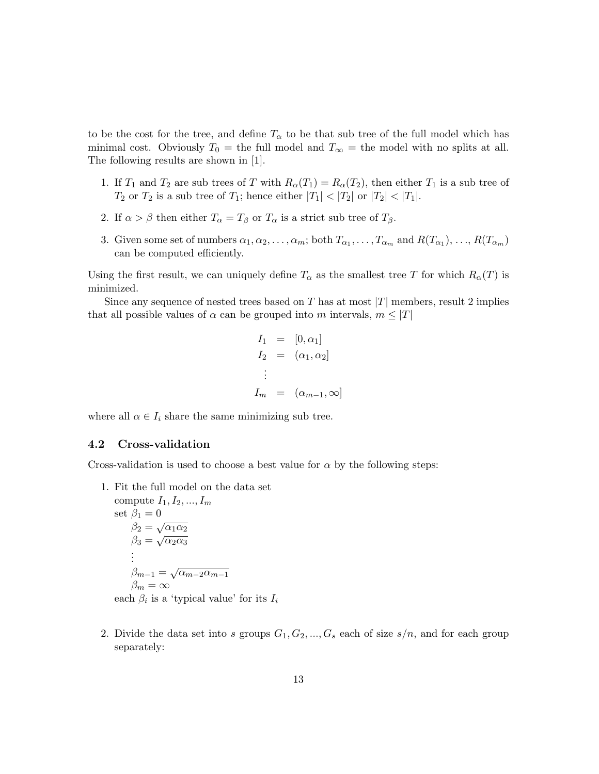to be the cost for the tree, and define  $T_{\alpha}$  to be that sub tree of the full model which has minimal cost. Obviously  $T_0 =$  the full model and  $T_\infty =$  the model with no splits at all. The following results are shown in [1].

- 1. If  $T_1$  and  $T_2$  are sub trees of T with  $R_{\alpha}(T_1) = R_{\alpha}(T_2)$ , then either  $T_1$  is a sub tree of  $T_2$  or  $T_2$  is a sub tree of  $T_1$ ; hence either  $|T_1| < |T_2|$  or  $|T_2| < |T_1|$ .
- 2. If  $\alpha > \beta$  then either  $T_{\alpha} = T_{\beta}$  or  $T_{\alpha}$  is a strict sub tree of  $T_{\beta}$ .
- 3. Given some set of numbers  $\alpha_1, \alpha_2, \ldots, \alpha_m$ ; both  $T_{\alpha_1}, \ldots, T_{\alpha_m}$  and  $R(T_{\alpha_1}), \ldots, R(T_{\alpha_m})$ can be computed efficiently.

Using the first result, we can uniquely define  $T_{\alpha}$  as the smallest tree T for which  $R_{\alpha}(T)$  is minimized.

Since any sequence of nested trees based on T has at most  $|T|$  members, result 2 implies that all possible values of  $\alpha$  can be grouped into m intervals,  $m \leq |T|$ 

$$
I_1 = [0, \alpha_1]
$$
  
\n
$$
I_2 = (\alpha_1, \alpha_2]
$$
  
\n
$$
\vdots
$$
  
\n
$$
I_m = (\alpha_{m-1}, \infty]
$$

where all  $\alpha \in I_i$  share the same minimizing sub tree.

#### 4.2 Cross-validation

Cross-validation is used to choose a best value for  $\alpha$  by the following steps:

1. Fit the full model on the data set compute  $I_1, I_2, ..., I_m$ set  $\beta_1 = 0$  $β_1 = 0$ <br> $β_2 = \sqrt{α_1α_2}$  $β_3 = \sqrt{α_2α_3}$ . . .  $\beta_{m-1}=\sqrt{\alpha_{m-2}\alpha_{m-1}}$  $\beta_m = \infty$ 

each  $\beta_i$  is a 'typical value' for its  $I_i$ 

2. Divide the data set into s groups  $G_1, G_2, ..., G_s$  each of size  $s/n$ , and for each group separately: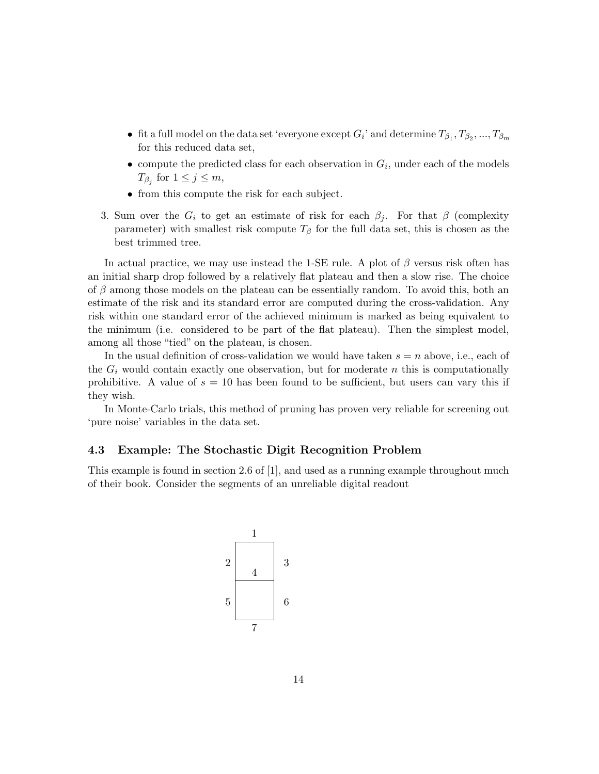- fit a full model on the data set 'everyone except  $G_i$ ' and determine  $T_{\beta_1}, T_{\beta_2},...,T_{\beta_m}$ for this reduced data set,
- compute the predicted class for each observation in  $G_i$ , under each of the models  $T_{\beta_j}$  for  $1 \leq j \leq m$ ,
- from this compute the risk for each subject.
- 3. Sum over the  $G_i$  to get an estimate of risk for each  $\beta_j$ . For that  $\beta$  (complexity parameter) with smallest risk compute  $T_\beta$  for the full data set, this is chosen as the best trimmed tree.

In actual practice, we may use instead the 1-SE rule. A plot of  $\beta$  versus risk often has an initial sharp drop followed by a relatively flat plateau and then a slow rise. The choice of  $\beta$  among those models on the plateau can be essentially random. To avoid this, both an estimate of the risk and its standard error are computed during the cross-validation. Any risk within one standard error of the achieved minimum is marked as being equivalent to the minimum (i.e. considered to be part of the flat plateau). Then the simplest model, among all those "tied" on the plateau, is chosen.

In the usual definition of cross-validation we would have taken  $s = n$  above, i.e., each of the  $G_i$  would contain exactly one observation, but for moderate n this is computationally prohibitive. A value of  $s = 10$  has been found to be sufficient, but users can vary this if they wish.

In Monte-Carlo trials, this method of pruning has proven very reliable for screening out 'pure noise' variables in the data set.

### 4.3 Example: The Stochastic Digit Recognition Problem

This example is found in section 2.6 of [1], and used as a running example throughout much of their book. Consider the segments of an unreliable digital readout

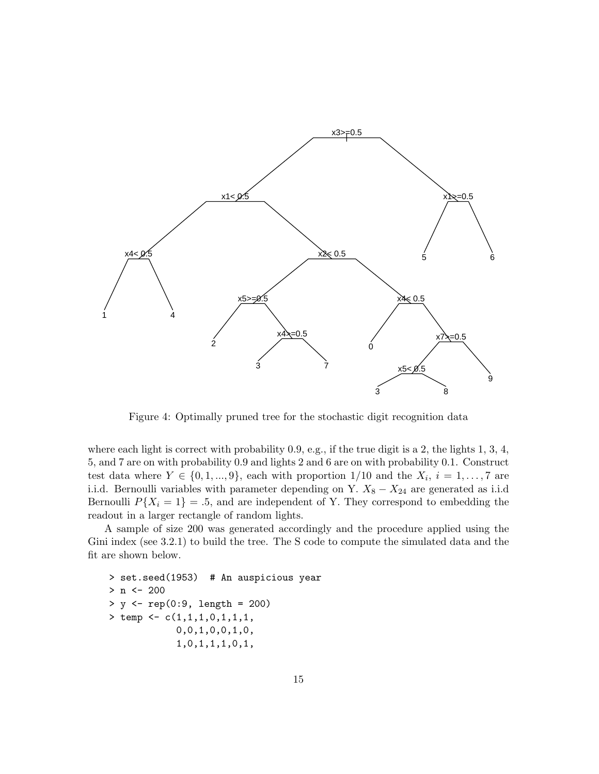

Figure 4: Optimally pruned tree for the stochastic digit recognition data

where each light is correct with probability  $0.9$ , e.g., if the true digit is a 2, the lights 1, 3, 4, 5, and 7 are on with probability 0.9 and lights 2 and 6 are on with probability 0.1. Construct test data where  $Y \in \{0, 1, ..., 9\}$ , each with proportion  $1/10$  and the  $X_i$ ,  $i = 1, ..., 7$  are i.i.d. Bernoulli variables with parameter depending on Y.  $X_8 - X_{24}$  are generated as i.i.d Bernoulli  $P{X_i = 1} = .5$ , and are independent of Y. They correspond to embedding the readout in a larger rectangle of random lights.

A sample of size 200 was generated accordingly and the procedure applied using the Gini index (see 3.2.1) to build the tree. The S code to compute the simulated data and the fit are shown below.

```
> set.seed(1953) # An auspicious year
> n < - 200> y <- rep(0:9, length = 200)
> temp <- c(1,1,1,0,1,1,1,
            0,0,1,0,0,1,0,
            1,0,1,1,1,0,1,
```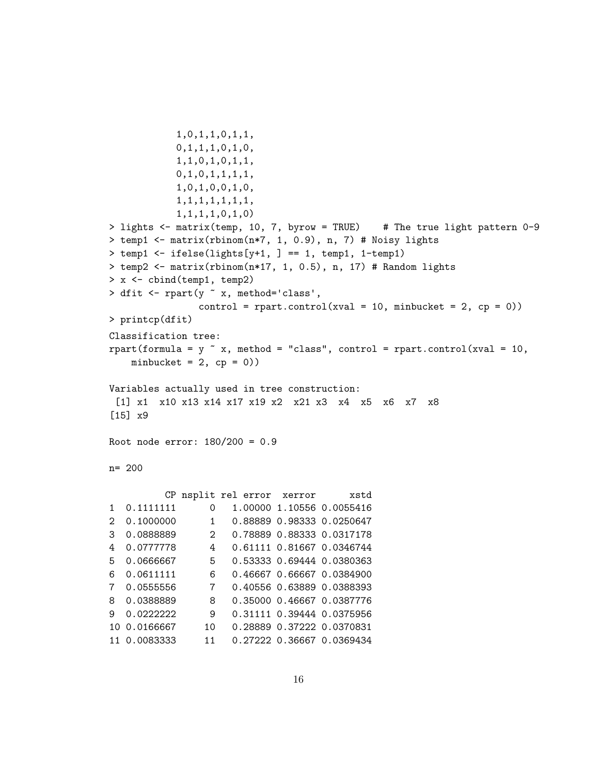```
1,0,1,1,0,1,1,
           0,1,1,1,0,1,0,
           1,1,0,1,0,1,1,
           0,1,0,1,1,1,1,
           1,0,1,0,0,1,0,
           1,1,1,1,1,1,1,
           1,1,1,1,0,1,0)
> lights <- matrix(temp, 10, 7, byrow = TRUE) # The true light pattern 0-9
> temp1 <- matrix(rbinom(n*7, 1, 0.9), n, 7) # Noisy lights
> temp1 <- ifelse(lights[y+1, ] == 1, temp1, 1-temp1)
> temp2 <- matrix(rbinom(n*17, 1, 0.5), n, 17) # Random lights
> x <- cbind(temp1, temp2)
> dfit <- rpart(y ~ x, method='class',
               control = rpart.contrib(xval = 10, minbucket = 2, cp = 0)> printcp(dfit)
Classification tree:
rpart(formula = y \tilde{ } x, method = "class", control = rpart.control(xval = 10,
   minbucket = 2, cp = 0))
Variables actually used in tree construction:
 [1] x1 x10 x13 x14 x17 x19 x2 x21 x3 x4 x5 x6 x7 x8
[15] x9
Root node error: 180/200 = 0.9
n= 200
         CP nsplit rel error xerror xstd
1 0.1111111 0 1.00000 1.10556 0.0055416
2 0.1000000 1 0.88889 0.98333 0.0250647
3 0.0888889 2 0.78889 0.88333 0.0317178
4 0.0777778 4 0.61111 0.81667 0.0346744
5 0.0666667 5 0.53333 0.69444 0.0380363
6 0.0611111 6 0.46667 0.66667 0.0384900
7 0.0555556 7 0.40556 0.63889 0.0388393
8 0.0388889 8 0.35000 0.46667 0.0387776
9 0.0222222 9 0.31111 0.39444 0.0375956
10 0.0166667 10 0.28889 0.37222 0.0370831
11 0.0083333 11 0.27222 0.36667 0.0369434
```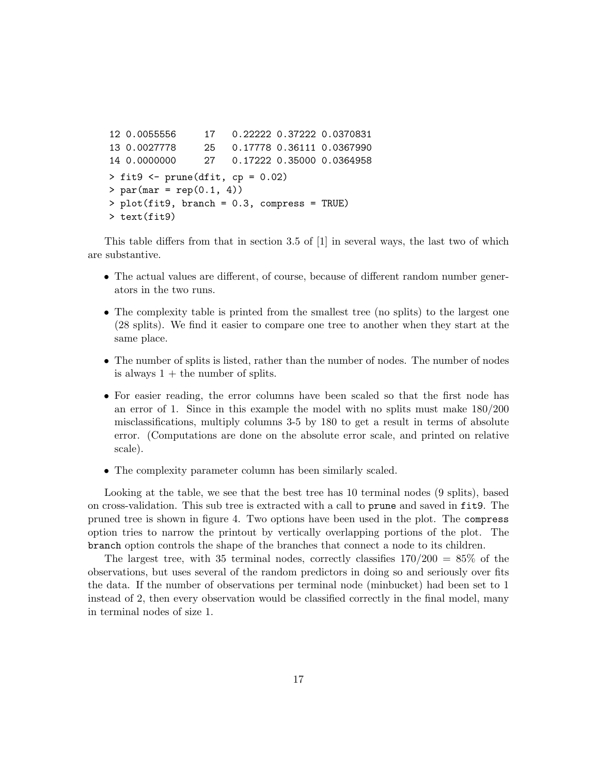```
12 0.0055556 17 0.22222 0.37222 0.0370831
13 0.0027778 25 0.17778 0.36111 0.0367990
14 0.0000000 27 0.17222 0.35000 0.0364958
> fit9 <- prune(dfit, cp = 0.02)
> par(max = rep(0.1, 4))> plot(fit9, branch = 0.3, compress = TRUE)
> text(fit9)
```
This table differs from that in section 3.5 of [1] in several ways, the last two of which are substantive.

- The actual values are different, of course, because of different random number generators in the two runs.
- The complexity table is printed from the smallest tree (no splits) to the largest one (28 splits). We find it easier to compare one tree to another when they start at the same place.
- The number of splits is listed, rather than the number of nodes. The number of nodes is always  $1 +$  the number of splits.
- For easier reading, the error columns have been scaled so that the first node has an error of 1. Since in this example the model with no splits must make 180/200 misclassifications, multiply columns 3-5 by 180 to get a result in terms of absolute error. (Computations are done on the absolute error scale, and printed on relative scale).
- The complexity parameter column has been similarly scaled.

Looking at the table, we see that the best tree has 10 terminal nodes (9 splits), based on cross-validation. This sub tree is extracted with a call to prune and saved in fit9. The pruned tree is shown in figure 4. Two options have been used in the plot. The compress option tries to narrow the printout by vertically overlapping portions of the plot. The branch option controls the shape of the branches that connect a node to its children.

The largest tree, with 35 terminal nodes, correctly classifies  $170/200 = 85\%$  of the observations, but uses several of the random predictors in doing so and seriously over fits the data. If the number of observations per terminal node (minbucket) had been set to 1 instead of 2, then every observation would be classified correctly in the final model, many in terminal nodes of size 1.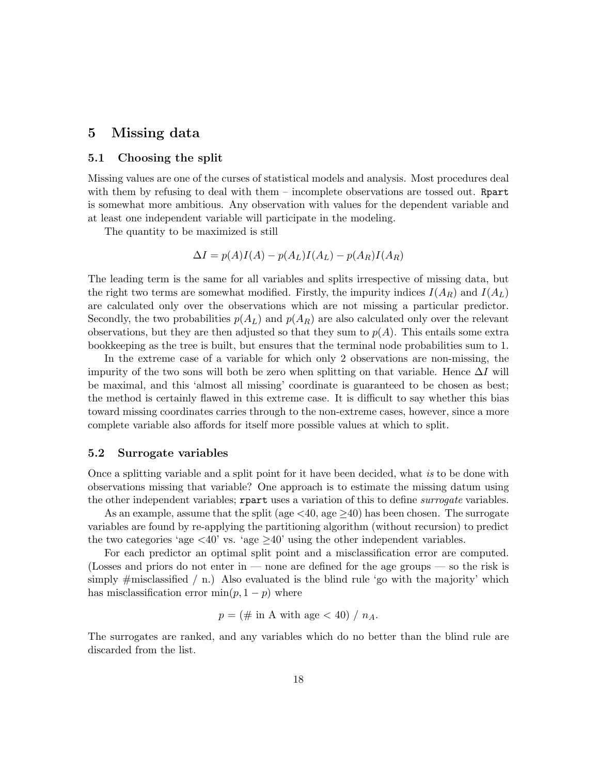## 5 Missing data

## 5.1 Choosing the split

Missing values are one of the curses of statistical models and analysis. Most procedures deal with them by refusing to deal with them – incomplete observations are tossed out. Report is somewhat more ambitious. Any observation with values for the dependent variable and at least one independent variable will participate in the modeling.

The quantity to be maximized is still

$$
\Delta I = p(A)I(A) - p(A_L)I(A_L) - p(A_R)I(A_R)
$$

The leading term is the same for all variables and splits irrespective of missing data, but the right two terms are somewhat modified. Firstly, the impurity indices  $I(A_R)$  and  $I(A_L)$ are calculated only over the observations which are not missing a particular predictor. Secondly, the two probabilities  $p(A_L)$  and  $p(A_R)$  are also calculated only over the relevant observations, but they are then adjusted so that they sum to  $p(A)$ . This entails some extra bookkeeping as the tree is built, but ensures that the terminal node probabilities sum to 1.

In the extreme case of a variable for which only 2 observations are non-missing, the impurity of the two sons will both be zero when splitting on that variable. Hence  $\Delta I$  will be maximal, and this 'almost all missing' coordinate is guaranteed to be chosen as best; the method is certainly flawed in this extreme case. It is difficult to say whether this bias toward missing coordinates carries through to the non-extreme cases, however, since a more complete variable also affords for itself more possible values at which to split.

#### 5.2 Surrogate variables

Once a splitting variable and a split point for it have been decided, what is to be done with observations missing that variable? One approach is to estimate the missing datum using the other independent variables; report uses a variation of this to define *surrogate* variables.

As an example, assume that the split (age  $\lt 40$ , age  $\geq 40$ ) has been chosen. The surrogate variables are found by re-applying the partitioning algorithm (without recursion) to predict the two categories 'age  $\langle 40 \rangle$ ' vs. 'age  $\geq 40$ ' using the other independent variables.

For each predictor an optimal split point and a misclassification error are computed. (Losses and priors do not enter in — none are defined for the age groups — so the risk is simply  $\#$ misclassified / n.) Also evaluated is the blind rule 'go with the majority' which has misclassification error  $min(p, 1 - p)$  where

$$
p = (\# \text{ in A with age} < 40) / n_A.
$$

The surrogates are ranked, and any variables which do no better than the blind rule are discarded from the list.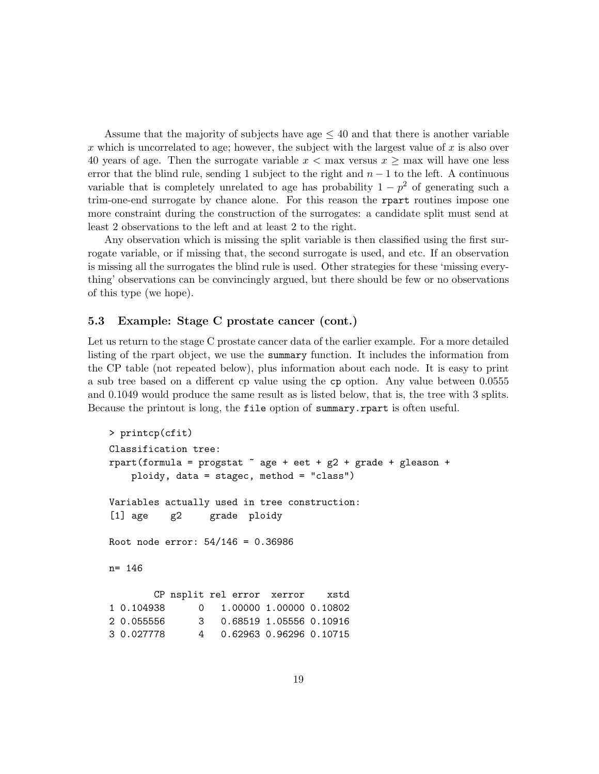Assume that the majority of subjects have age  $\leq 40$  and that there is another variable x which is uncorrelated to age; however, the subject with the largest value of x is also over 40 years of age. Then the surrogate variable  $x < \max$  versus  $x \ge \max$  will have one less error that the blind rule, sending 1 subject to the right and  $n-1$  to the left. A continuous variable that is completely unrelated to age has probability  $1 - p^2$  of generating such a trim-one-end surrogate by chance alone. For this reason the rpart routines impose one more constraint during the construction of the surrogates: a candidate split must send at least 2 observations to the left and at least 2 to the right.

Any observation which is missing the split variable is then classified using the first surrogate variable, or if missing that, the second surrogate is used, and etc. If an observation is missing all the surrogates the blind rule is used. Other strategies for these 'missing everything' observations can be convincingly argued, but there should be few or no observations of this type (we hope).

### 5.3 Example: Stage C prostate cancer (cont.)

Let us return to the stage C prostate cancer data of the earlier example. For a more detailed listing of the rpart object, we use the summary function. It includes the information from the CP table (not repeated below), plus information about each node. It is easy to print a sub tree based on a different cp value using the cp option. Any value between 0.0555 and 0.1049 would produce the same result as is listed below, that is, the tree with 3 splits. Because the printout is long, the file option of summary.rpart is often useful.

```
> printcp(cfit)
Classification tree:
rpart(formula = progstat \tilde{ } age + eet + g2 + grade + gleason +
   ploidy, data = stagec, method = "class")
Variables actually used in tree construction:
[1] age g2 grade ploidy
Root node error: 54/146 = 0.36986
n= 146
       CP nsplit rel error xerror xstd
1 0.104938 0 1.00000 1.00000 0.10802
2 0.055556 3 0.68519 1.05556 0.10916
3 0.027778 4 0.62963 0.96296 0.10715
```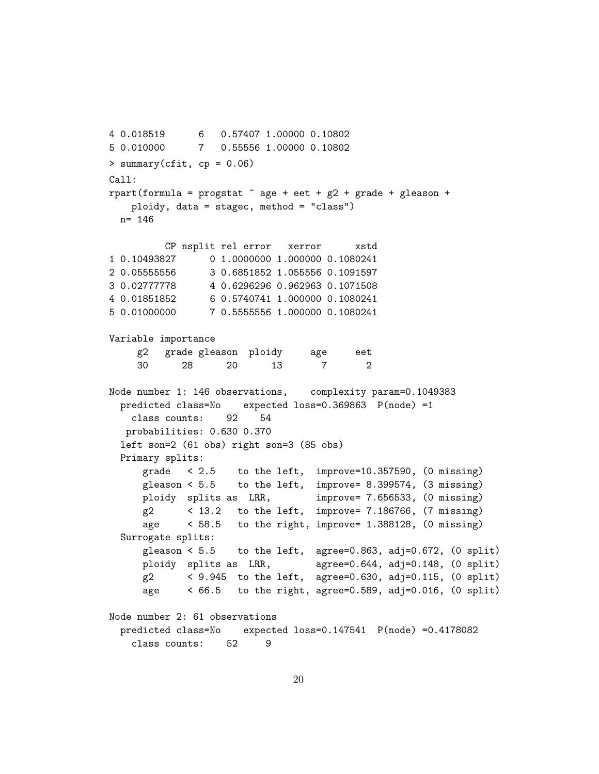4 0.018519 6 0.57407 1.00000 0.10802 5 0.010000 7 0.55556 1.00000 0.10802  $>$  summary(cfit, cp = 0.06) Call: rpart(formula = progstat  $\tilde{ }$  age + eet + g2 + grade + gleason + ploidy, data = stagec, method = "class") n= 146 CP nsplit rel error xerror xstd 1 0.10493827 0 1.0000000 1.000000 0.1080241 2 0.05555556 3 0.6851852 1.055556 0.1091597 3 0.02777778 4 0.6296296 0.962963 0.1071508 4 0.01851852 6 0.5740741 1.000000 0.1080241 5 0.01000000 7 0.5555556 1.000000 0.1080241 Variable importance g2 grade gleason ploidy age eet 30 28 20 13 7 2 Node number 1: 146 observations, complexity param=0.1049383 predicted class=No expected loss=0.369863 P(node) =1 class counts: 92 54 probabilities: 0.630 0.370 left son=2 (61 obs) right son=3 (85 obs) Primary splits: grade < 2.5 to the left, improve=10.357590, (0 missing) gleason  $\leq 5.5$  to the left, improve= 8.399574, (3 missing) ploidy splits as LRR, improve= 7.656533, (0 missing)  $g2 \t 13.2 \t to the left, improve= 7.186766, (7 missing)$ age < 58.5 to the right, improve= 1.388128, (0 missing) Surrogate splits: gleason  $< 5.5$  to the left, agree=0.863, adj=0.672,  $(0 \text{ split})$ ploidy splits as LRR, agree=0.644, adj=0.148, (0 split)  $g2 \leq 9.945$  to the left, agree=0.630, adj=0.115,  $(0 \text{ split})$ age < 66.5 to the right, agree=0.589, adj=0.016, (0 split) Node number 2: 61 observations predicted class=No expected loss=0.147541 P(node) =0.4178082 class counts: 52 9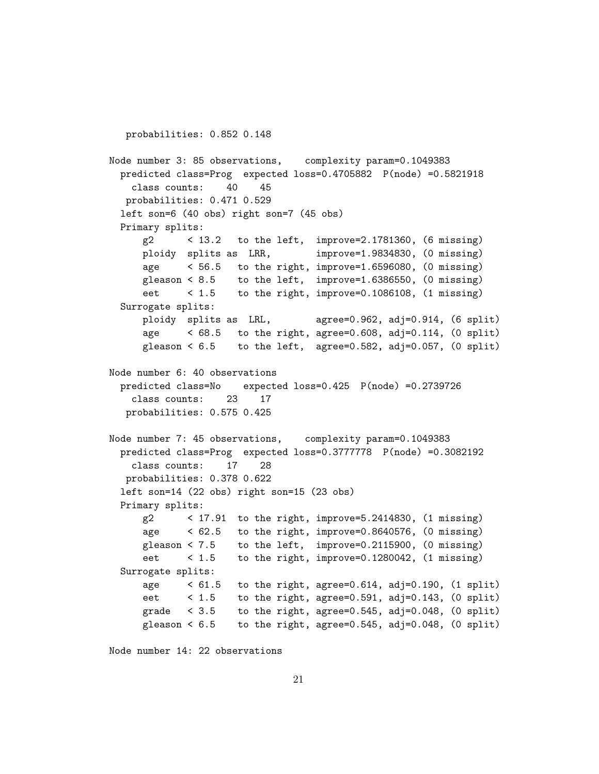probabilities: 0.852 0.148 Node number 3: 85 observations, complexity param=0.1049383 predicted class=Prog expected loss=0.4705882 P(node) =0.5821918 class counts: 40 45 probabilities: 0.471 0.529 left son=6 (40 obs) right son=7 (45 obs) Primary splits: g2 < 13.2 to the left, improve=2.1781360, (6 missing) ploidy splits as LRR, improve=1.9834830, (0 missing) age < 56.5 to the right, improve=1.6596080, (0 missing) gleason  $\leq 8.5$  to the left, improve=1.6386550, (0 missing) eet < 1.5 to the right, improve=0.1086108, (1 missing) Surrogate splits: ploidy splits as LRL, agree=0.962, adj=0.914, (6 split) age < 68.5 to the right, agree=0.608, adj=0.114, (0 split) gleason  $< 6.5$  to the left, agree=0.582, adj=0.057, (0 split) Node number 6: 40 observations predicted class=No expected loss=0.425 P(node) =0.2739726 class counts: 23 17 probabilities: 0.575 0.425 Node number 7: 45 observations, complexity param=0.1049383 predicted class=Prog expected loss=0.3777778 P(node) =0.3082192 class counts: 17 28 probabilities: 0.378 0.622 left son=14 (22 obs) right son=15 (23 obs) Primary splits: g2 < 17.91 to the right, improve=5.2414830, (1 missing) age < 62.5 to the right, improve=0.8640576, (0 missing) gleason < 7.5 to the left, improve=0.2115900, (0 missing) eet < 1.5 to the right, improve=0.1280042, (1 missing) Surrogate splits: age  $\leq 61.5$  to the right, agree=0.614, adj=0.190, (1 split) eet  $\leq 1.5$  to the right, agree=0.591, adj=0.143, (0 split) grade  $\leq 3.5$  to the right, agree=0.545, adj=0.048, (0 split) gleason  $\leq 6.5$  to the right, agree=0.545, adj=0.048, (0 split)

Node number 14: 22 observations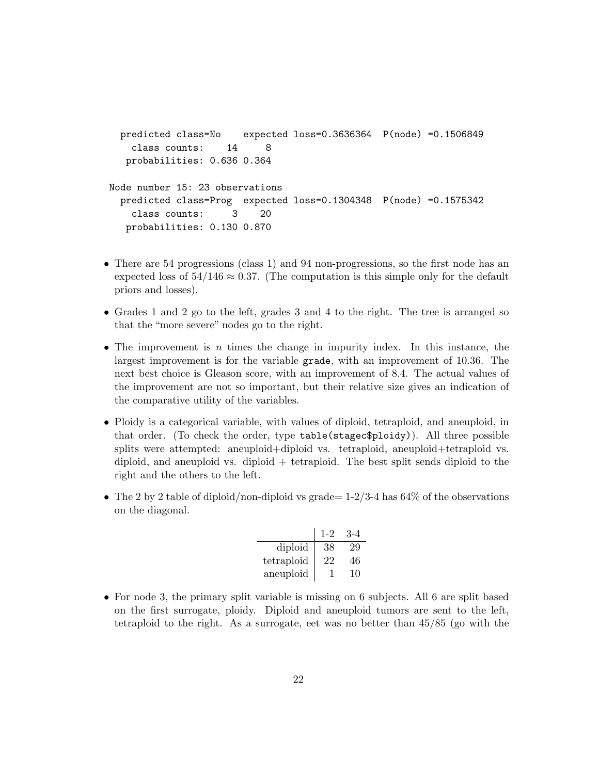```
predicted class=No expected loss=0.3636364 P(node) =0.1506849
   class counts: 14 8
  probabilities: 0.636 0.364
Node number 15: 23 observations
 predicted class=Prog expected loss=0.1304348 P(node) =0.1575342
   class counts: 3 20
  probabilities: 0.130 0.870
```
- There are 54 progressions (class 1) and 94 non-progressions, so the first node has an expected loss of  $54/146 \approx 0.37$ . (The computation is this simple only for the default priors and losses).
- Grades 1 and 2 go to the left, grades 3 and 4 to the right. The tree is arranged so that the "more severe" nodes go to the right.
- The improvement is n times the change in impurity index. In this instance, the largest improvement is for the variable grade, with an improvement of 10.36. The next best choice is Gleason score, with an improvement of 8.4. The actual values of the improvement are not so important, but their relative size gives an indication of the comparative utility of the variables.
- Ploidy is a categorical variable, with values of diploid, tetraploid, and aneuploid, in that order. (To check the order, type table(stagec\$ploidy)). All three possible splits were attempted: aneuploid+diploid vs. tetraploid, aneuploid+tetraploid vs. diploid, and aneuploid vs. diploid + tetraploid. The best split sends diploid to the right and the others to the left.
- The 2 by 2 table of diploid/non-diploid vs grade=  $1-2/3-4$  has 64% of the observations on the diagonal.

|            | $1 - 2$ |    |
|------------|---------|----|
| diploid    | 38      | 29 |
| tetraploid | 22.     | 46 |
| aneuploid  |         | 10 |

• For node 3, the primary split variable is missing on 6 subjects. All 6 are split based on the first surrogate, ploidy. Diploid and aneuploid tumors are sent to the left, tetraploid to the right. As a surrogate, eet was no better than 45/85 (go with the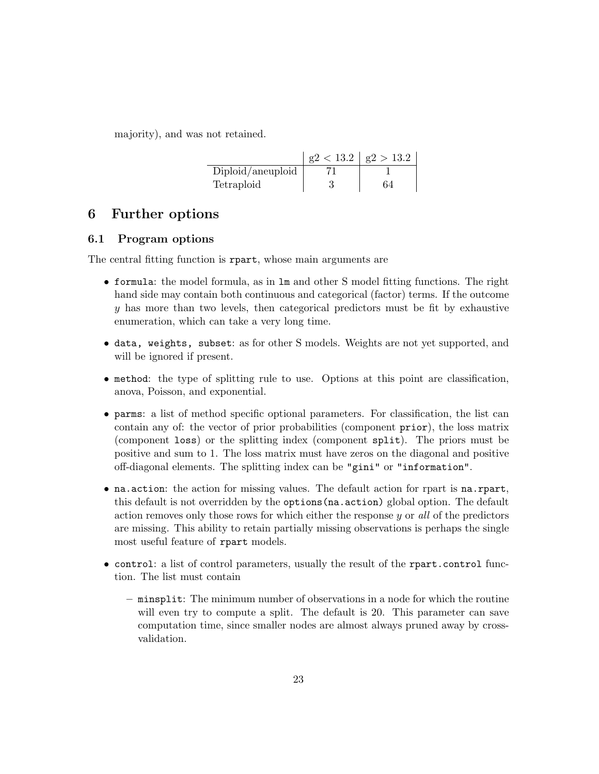majority), and was not retained.

|                   | $g2 < 13.2$   $g2 > 13.2$ |
|-------------------|---------------------------|
| Diploid/aneuploid |                           |
| Tetraploid        | 64                        |

## 6 Further options

## 6.1 Program options

The central fitting function is rpart, whose main arguments are

- formula: the model formula, as in lm and other S model fitting functions. The right hand side may contain both continuous and categorical (factor) terms. If the outcome y has more than two levels, then categorical predictors must be fit by exhaustive enumeration, which can take a very long time.
- data, weights, subset: as for other S models. Weights are not yet supported, and will be ignored if present.
- method: the type of splitting rule to use. Options at this point are classification, anova, Poisson, and exponential.
- parms: a list of method specific optional parameters. For classification, the list can contain any of: the vector of prior probabilities (component prior), the loss matrix (component loss) or the splitting index (component split). The priors must be positive and sum to 1. The loss matrix must have zeros on the diagonal and positive off-diagonal elements. The splitting index can be "gini" or "information".
- na.action: the action for missing values. The default action for rpart is na.rpart, this default is not overridden by the options(na.action) global option. The default action removes only those rows for which either the response  $y$  or all of the predictors are missing. This ability to retain partially missing observations is perhaps the single most useful feature of rpart models.
- control: a list of control parameters, usually the result of the rpart.control function. The list must contain
	- minsplit: The minimum number of observations in a node for which the routine will even try to compute a split. The default is 20. This parameter can save computation time, since smaller nodes are almost always pruned away by crossvalidation.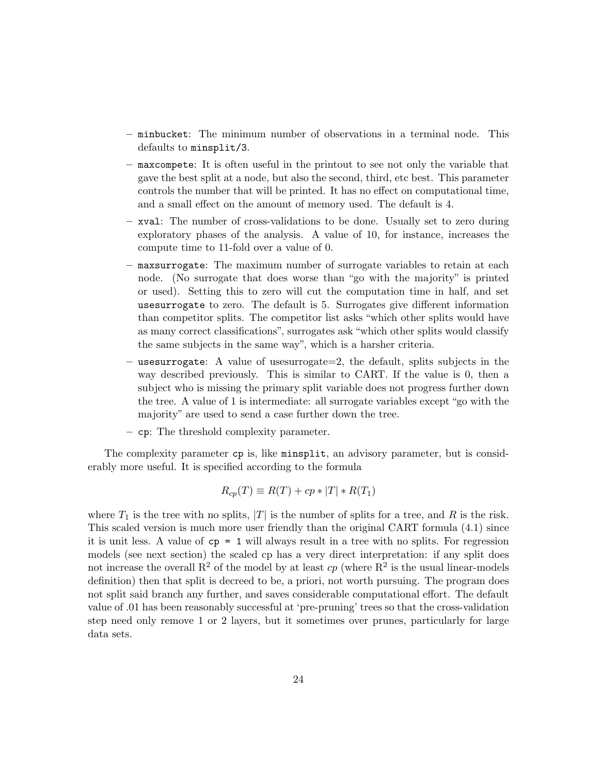- minbucket: The minimum number of observations in a terminal node. This defaults to minsplit/3.
- maxcompete: It is often useful in the printout to see not only the variable that gave the best split at a node, but also the second, third, etc best. This parameter controls the number that will be printed. It has no effect on computational time, and a small effect on the amount of memory used. The default is 4.
- xval: The number of cross-validations to be done. Usually set to zero during exploratory phases of the analysis. A value of 10, for instance, increases the compute time to 11-fold over a value of 0.
- maxsurrogate: The maximum number of surrogate variables to retain at each node. (No surrogate that does worse than "go with the majority" is printed or used). Setting this to zero will cut the computation time in half, and set usesurrogate to zero. The default is 5. Surrogates give different information than competitor splits. The competitor list asks "which other splits would have as many correct classifications", surrogates ask "which other splits would classify the same subjects in the same way", which is a harsher criteria.
- usesurrogate: A value of usesurrogate=2, the default, splits subjects in the way described previously. This is similar to CART. If the value is 0, then a subject who is missing the primary split variable does not progress further down the tree. A value of 1 is intermediate: all surrogate variables except "go with the majority" are used to send a case further down the tree.
- cp: The threshold complexity parameter.

The complexity parameter cp is, like minsplit, an advisory parameter, but is considerably more useful. It is specified according to the formula

$$
R_{cp}(T) \equiv R(T) + cp * |T| * R(T_1)
$$

where  $T_1$  is the tree with no splits,  $|T|$  is the number of splits for a tree, and R is the risk. This scaled version is much more user friendly than the original CART formula (4.1) since it is unit less. A value of cp = 1 will always result in a tree with no splits. For regression models (see next section) the scaled cp has a very direct interpretation: if any split does not increase the overall  $\mathbb{R}^2$  of the model by at least  $cp$  (where  $\mathbb{R}^2$  is the usual linear-models definition) then that split is decreed to be, a priori, not worth pursuing. The program does not split said branch any further, and saves considerable computational effort. The default value of .01 has been reasonably successful at 'pre-pruning' trees so that the cross-validation step need only remove 1 or 2 layers, but it sometimes over prunes, particularly for large data sets.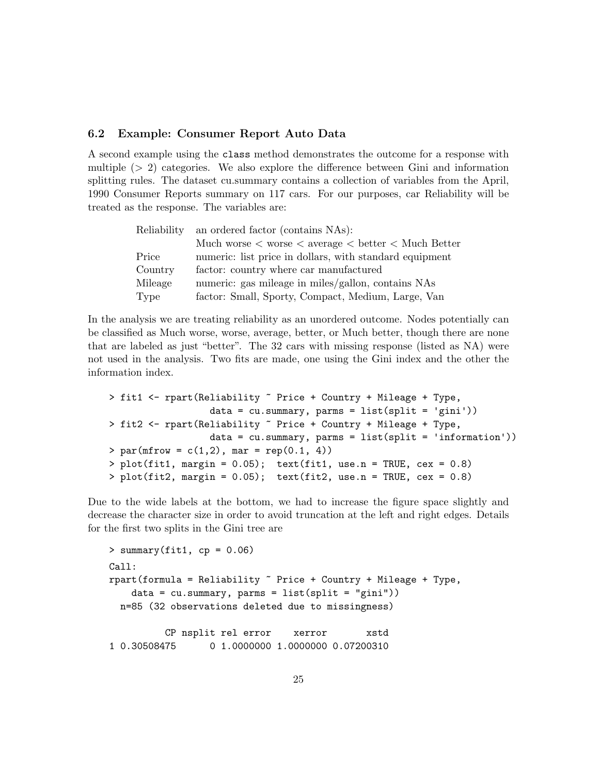### 6.2 Example: Consumer Report Auto Data

A second example using the class method demonstrates the outcome for a response with multiple  $(> 2)$  categories. We also explore the difference between Gini and information splitting rules. The dataset cu.summary contains a collection of variables from the April, 1990 Consumer Reports summary on 117 cars. For our purposes, car Reliability will be treated as the response. The variables are:

| Reliability | an ordered factor (contains NAs):                                                   |
|-------------|-------------------------------------------------------------------------------------|
|             | Much worse $\langle$ worse $\langle$ average $\langle$ better $\langle$ Much Better |
| Price       | numeric: list price in dollars, with standard equipment                             |
| Country     | factor: country where car manufactured                                              |
| Mileage     | numeric: gas mileage in miles/gallon, contains NAs                                  |
| Type        | factor: Small, Sporty, Compact, Medium, Large, Van                                  |

In the analysis we are treating reliability as an unordered outcome. Nodes potentially can be classified as Much worse, worse, average, better, or Much better, though there are none that are labeled as just "better". The 32 cars with missing response (listed as NA) were not used in the analysis. Two fits are made, one using the Gini index and the other the information index.

```
> fit1 <- rpart(Reliability ~ Price + Country + Mileage + Type,
                  data = cu.summary, <math>params = list(split = 'gini'))> fit2 <- rpart(Reliability ~ Price + Country + Mileage + Type,
                  data = cu.summary, <math>params = list(split = 'information'))> par(mfrow = c(1,2), mar = rep(0.1, 4))> plot(fitt1, margin = 0.05); text(fitt1, use.n = TRUE, cex = 0.8)> plot(fit2, margin = 0.05); text(fit2, use.n = TRUE, cex = 0.8)
```
Due to the wide labels at the bottom, we had to increase the figure space slightly and decrease the character size in order to avoid truncation at the left and right edges. Details for the first two splits in the Gini tree are

```
> summary(fit1, cp = 0.06)
Call:
rpart(formula = Reliability \tilde{ } Price + Country + Mileage + Type,
    data = cu.summary, <math>parms = list(split = "gini"))</math>n=85 (32 observations deleted due to missingness)
          CP nsplit rel error xerror xstd
1 0.30508475 0 1.0000000 1.0000000 0.07200310
```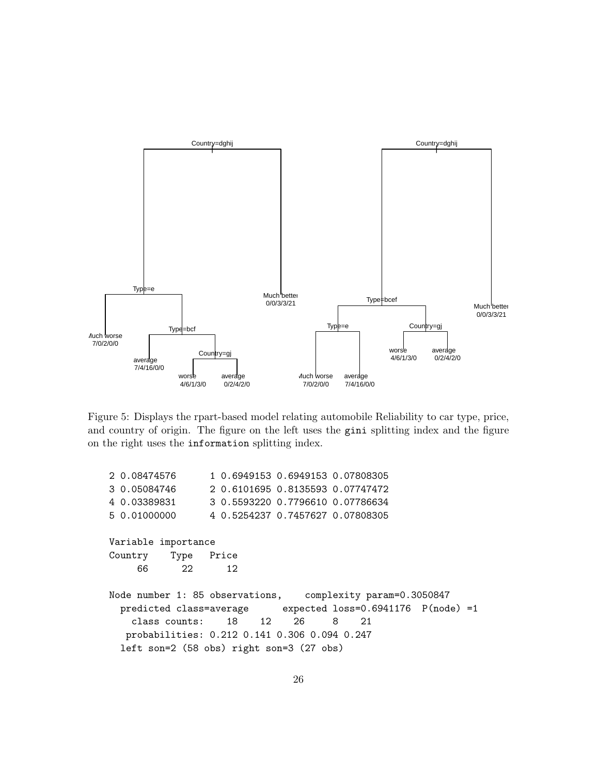

Figure 5: Displays the rpart-based model relating automobile Reliability to car type, price, and country of origin. The figure on the left uses the gini splitting index and the figure on the right uses the information splitting index.

| 2 0.08474576                                               | 1 0.6949153 0.6949153 0.07808305 |                                                            |  |
|------------------------------------------------------------|----------------------------------|------------------------------------------------------------|--|
| 3 0.05084746                                               | 2 0.6101695 0.8135593 0.07747472 |                                                            |  |
| 4 0.03389831                                               | 3 0.5593220 0.7796610 0.07786634 |                                                            |  |
| 5 0.01000000                                               | 4 0.5254237 0.7457627 0.07808305 |                                                            |  |
| Variable importance<br>Country Type Price<br>22<br>66 -    | 12                               |                                                            |  |
|                                                            |                                  |                                                            |  |
| Node number 1: 85 observations, complexity param=0.3050847 |                                  |                                                            |  |
|                                                            |                                  | predicted class=average expected loss=0.6941176 P(node) =1 |  |
| class counts: 18 12 26                                     |                                  | 8 21                                                       |  |
| probabilities: 0.212 0.141 0.306 0.094 0.247               |                                  |                                                            |  |
| $left son=2$ (58 obs) right son=3 (27 obs)                 |                                  |                                                            |  |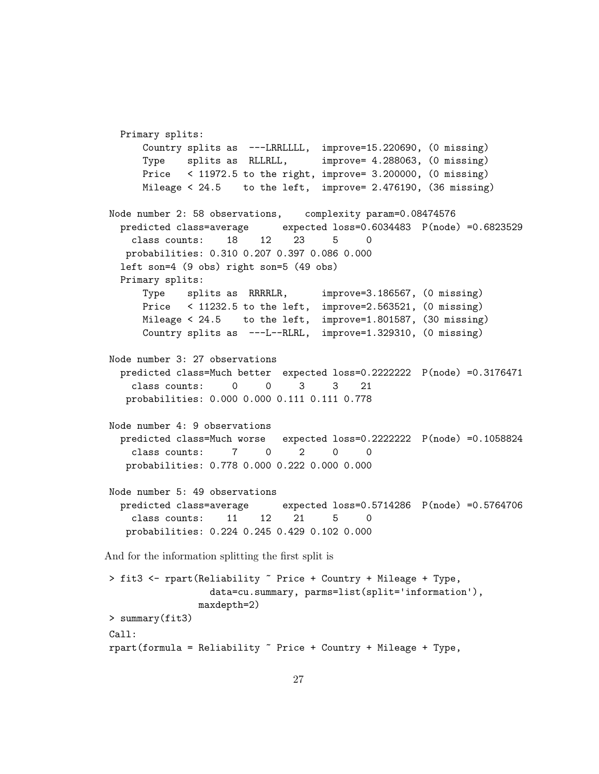Primary splits: Country splits as ---LRRLLLL, improve=15.220690, (0 missing) Type splits as RLLRLL, improve= 4.288063, (0 missing) Price < 11972.5 to the right, improve= 3.200000, (0 missing) Mileage < 24.5 to the left, improve= 2.476190, (36 missing) Node number 2: 58 observations, complexity param=0.08474576 predicted class=average expected loss=0.6034483 P(node) =0.6823529 class counts: 18 12 23 5 0 probabilities: 0.310 0.207 0.397 0.086 0.000 left son=4 (9 obs) right son=5 (49 obs) Primary splits: Type splits as RRRRLR, improve=3.186567, (0 missing) Price < 11232.5 to the left, improve=2.563521, (0 missing) Mileage < 24.5 to the left, improve=1.801587, (30 missing) Country splits as ---L--RLRL, improve=1.329310, (0 missing) Node number 3: 27 observations predicted class=Much better expected loss=0.2222222 P(node) =0.3176471 class counts: 0 0 3 3 21 probabilities: 0.000 0.000 0.111 0.111 0.778 Node number 4: 9 observations predicted class=Much worse expected loss=0.2222222 P(node) =0.1058824 class counts: 7 0 2 0 0 probabilities: 0.778 0.000 0.222 0.000 0.000 Node number 5: 49 observations predicted class=average expected loss=0.5714286 P(node) =0.5764706 class counts: 11 12 21 5 0 probabilities: 0.224 0.245 0.429 0.102 0.000 And for the information splitting the first split is > fit3 <- rpart(Reliability ~ Price + Country + Mileage + Type,

```
data=cu.summary, parms=list(split='information'),
                 maxdepth=2)
> summary(fit3)
Call:
rpart(formula = Reliability \tilde{ } Price + Country + Mileage + Type,
```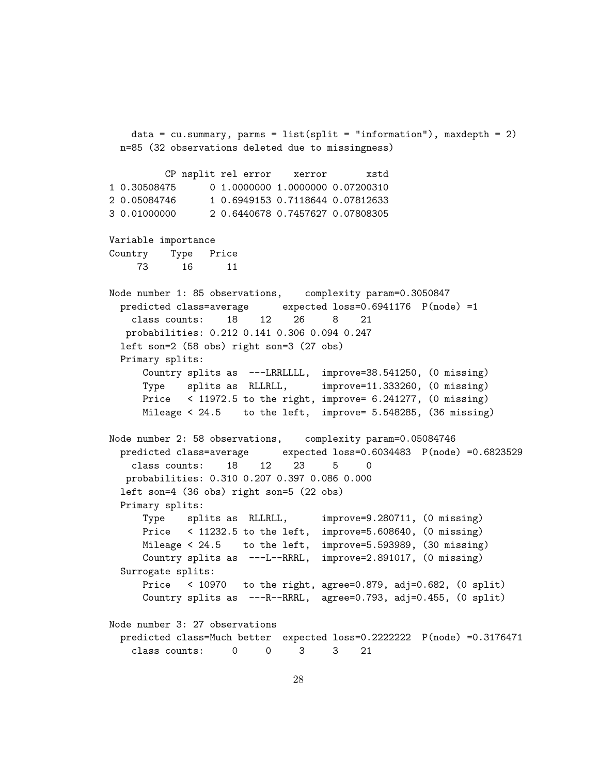data = cu.summary, parms = list(split = "information"), maxdepth = 2) n=85 (32 observations deleted due to missingness) CP nsplit rel error xerror xstd 1 0.30508475 0 1.0000000 1.0000000 0.07200310 2 0.05084746 1 0.6949153 0.7118644 0.07812633 3 0.01000000 2 0.6440678 0.7457627 0.07808305 Variable importance Country Type Price 73 16 11 Node number 1: 85 observations, complexity param=0.3050847 predicted class=average expected loss=0.6941176 P(node) =1 class counts: 18 12 26 8 21 probabilities: 0.212 0.141 0.306 0.094 0.247 left son=2 (58 obs) right son=3 (27 obs) Primary splits: Country splits as ---LRRLLLL, improve=38.541250, (0 missing) Type splits as RLLRLL, improve=11.333260, (0 missing) Price < 11972.5 to the right, improve= 6.241277, (0 missing) Mileage < 24.5 to the left, improve= 5.548285, (36 missing) Node number 2: 58 observations, complexity param=0.05084746 predicted class=average expected loss=0.6034483 P(node) =0.6823529 class counts: 18 12 23 5 0 probabilities: 0.310 0.207 0.397 0.086 0.000 left son=4 (36 obs) right son=5 (22 obs) Primary splits: Type splits as RLLRLL, improve=9.280711, (0 missing) Price < 11232.5 to the left, improve=5.608640, (0 missing) Mileage < 24.5 to the left, improve=5.593989, (30 missing) Country splits as ---L--RRRL, improve=2.891017, (0 missing) Surrogate splits: Price < 10970 to the right, agree=0.879, adj=0.682, (0 split) Country splits as ---R--RRRL, agree=0.793, adj=0.455, (0 split) Node number 3: 27 observations predicted class=Much better expected loss=0.2222222 P(node) =0.3176471 class counts: 0 0 3 3 21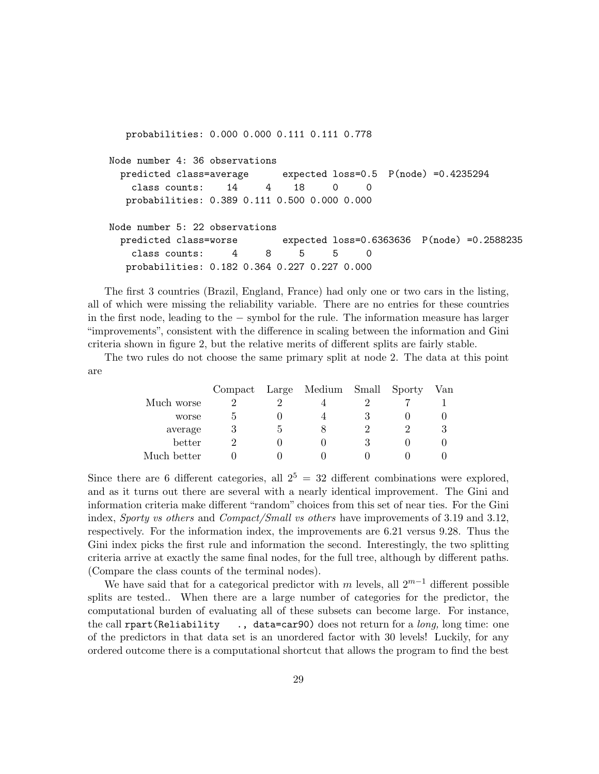probabilities: 0.000 0.000 0.111 0.111 0.778 Node number 4: 36 observations predicted class=average expected loss=0.5 P(node) =0.4235294 class counts: 14 4 18 0 0 probabilities: 0.389 0.111 0.500 0.000 0.000 Node number 5: 22 observations predicted class=worse expected loss=0.6363636 P(node) =0.2588235 class counts: 4 8 5 5 0 probabilities: 0.182 0.364 0.227 0.227 0.000

The first 3 countries (Brazil, England, France) had only one or two cars in the listing, all of which were missing the reliability variable. There are no entries for these countries in the first node, leading to the − symbol for the rule. The information measure has larger "improvements", consistent with the difference in scaling between the information and Gini criteria shown in figure 2, but the relative merits of different splits are fairly stable.

The two rules do not choose the same primary split at node 2. The data at this point are

|             |   | Compact Large Medium Small Sporty |  | Van |
|-------------|---|-----------------------------------|--|-----|
| Much worse  |   |                                   |  |     |
| worse       |   |                                   |  |     |
| average     | 3 |                                   |  |     |
| better      |   |                                   |  |     |
| Much better |   |                                   |  |     |

Since there are 6 different categories, all  $2^5 = 32$  different combinations were explored, and as it turns out there are several with a nearly identical improvement. The Gini and information criteria make different "random" choices from this set of near ties. For the Gini index, Sporty vs others and Compact/Small vs others have improvements of 3.19 and 3.12, respectively. For the information index, the improvements are 6.21 versus 9.28. Thus the Gini index picks the first rule and information the second. Interestingly, the two splitting criteria arrive at exactly the same final nodes, for the full tree, although by different paths. (Compare the class counts of the terminal nodes).

We have said that for a categorical predictor with m levels, all  $2^{m-1}$  different possible splits are tested.. When there are a large number of categories for the predictor, the computational burden of evaluating all of these subsets can become large. For instance, the call rpart(Reliability  $\ldots$ , data=car90) does not return for a *long*, long time: one of the predictors in that data set is an unordered factor with 30 levels! Luckily, for any ordered outcome there is a computational shortcut that allows the program to find the best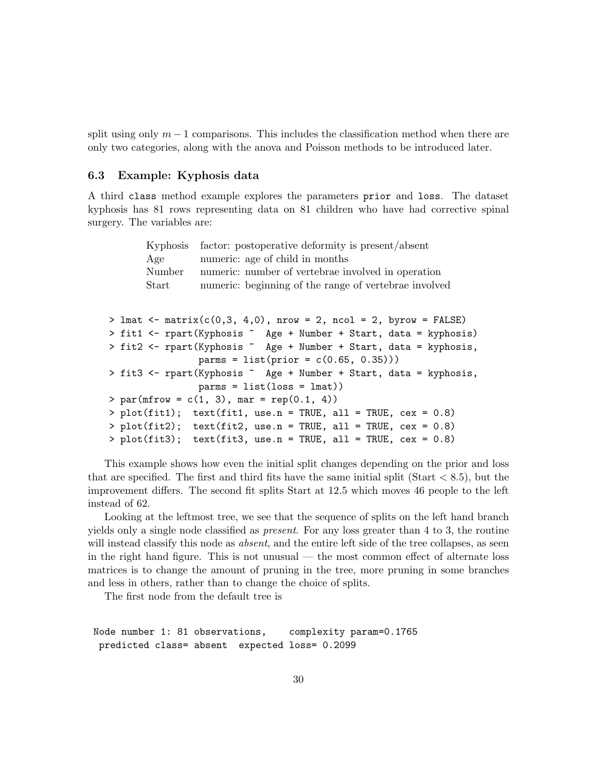split using only  $m-1$  comparisons. This includes the classification method when there are only two categories, along with the anova and Poisson methods to be introduced later.

### 6.3 Example: Kyphosis data

A third class method example explores the parameters prior and loss. The dataset kyphosis has 81 rows representing data on 81 children who have had corrective spinal surgery. The variables are:

|  | Kyphosis | factor: postoperative deformity is present/absent                     |
|--|----------|-----------------------------------------------------------------------|
|  | Age      | numeric: age of child in months                                       |
|  | Number   | numeric: number of vertebrae involved in operation                    |
|  | Start    | numeric: beginning of the range of vertebrae involved                 |
|  |          |                                                                       |
|  |          | > lmat <- matrix $(c(0,3, 4,0))$ , nrow = 2, ncol = 2, byrow = FALSE) |
|  |          | > fit1 <- rpart(Kyphosis ~ Age + Number + Start, data = kyphosis)     |
|  |          | > fit2 <- rpart(Kyphosis ~ Age + Number + Start, data = kyphosis,     |
|  |          | $params = list(prior = c(0.65, 0.35)))$                               |
|  |          | > fit3 <- rpart(Kyphosis ~ Age + Number + Start, data = kyphosis,     |
|  |          | $params = list_loss = lmat))$                                         |
|  |          | > par(mfrow = $c(1, 3)$ , mar = rep(0.1, 4))                          |
|  |          | > $plot(fit1);$ $text(fit1, use.n = TRUE, all = TRUE, cex = 0.8)$     |
|  |          | > $plot(fit2);$ text(fit2, use.n = TRUE, all = TRUE, cex = 0.8)       |
|  |          | > $plot(fit3);$ text(fit3, use.n = TRUE, all = TRUE, cex = 0.8)       |

This example shows how even the initial split changes depending on the prior and loss that are specified. The first and third fits have the same initial split (Start  $< 8.5$ ), but the improvement differs. The second fit splits Start at 12.5 which moves 46 people to the left instead of 62.

Looking at the leftmost tree, we see that the sequence of splits on the left hand branch yields only a single node classified as present. For any loss greater than 4 to 3, the routine will instead classify this node as *absent*, and the entire left side of the tree collapses, as seen in the right hand figure. This is not unusual — the most common effect of alternate loss matrices is to change the amount of pruning in the tree, more pruning in some branches and less in others, rather than to change the choice of splits.

The first node from the default tree is

Node number 1: 81 observations, complexity param=0.1765 predicted class= absent expected loss= 0.2099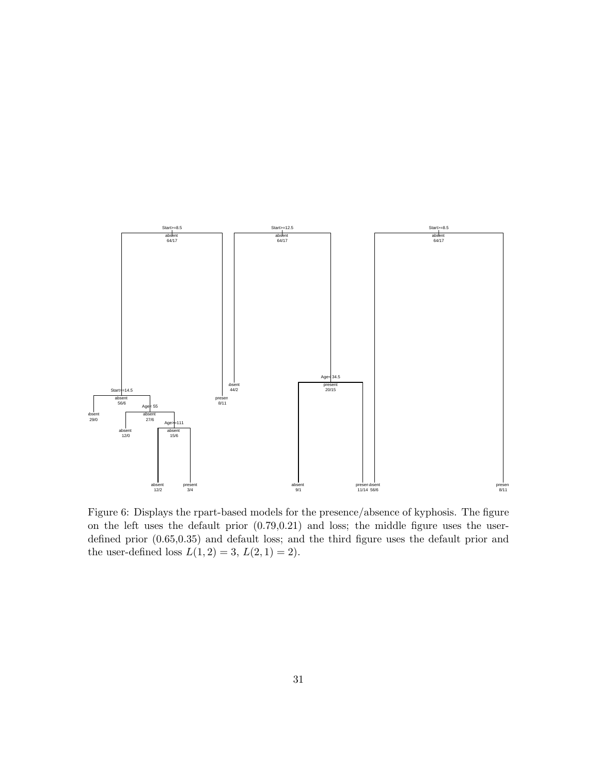

Figure 6: Displays the rpart-based models for the presence/absence of kyphosis. The figure on the left uses the default prior (0.79,0.21) and loss; the middle figure uses the userdefined prior (0.65,0.35) and default loss; and the third figure uses the default prior and the user-defined loss  $L(1, 2) = 3, L(2, 1) = 2$ .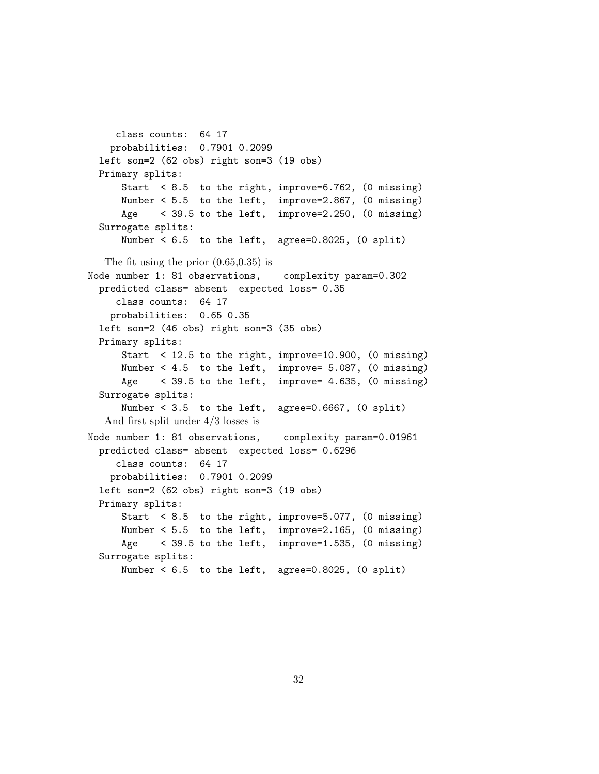```
class counts: 64 17
   probabilities: 0.7901 0.2099
 left son=2 (62 obs) right son=3 (19 obs)
 Primary splits:
     Start < 8.5 to the right, improve=6.762, (0 missing)
     Number < 5.5 to the left, improve=2.867, (0 missing)
     Age < 39.5 to the left, improve=2.250, (0 missing)
 Surrogate splits:
     Number < 6.5 to the left, agree=0.8025, (0 split)
  The fit using the prior (0.65,0.35) is
Node number 1: 81 observations, complexity param=0.302
 predicted class= absent expected loss= 0.35
    class counts: 64 17
   probabilities: 0.65 0.35
 left son=2 (46 obs) right son=3 (35 obs)
 Primary splits:
     Start < 12.5 to the right, improve=10.900, (0 missing)
     Number < 4.5 to the left, improve= 5.087, (0 missing)
     Age < 39.5 to the left, improve= 4.635, (0 missing)
 Surrogate splits:
     Number < 3.5 to the left, agree=0.6667, (0 split)
  And first split under 4/3 losses is
Node number 1: 81 observations, complexity param=0.01961
 predicted class= absent expected loss= 0.6296
    class counts: 64 17
   probabilities: 0.7901 0.2099
 left son=2 (62 obs) right son=3 (19 obs)
 Primary splits:
      Start < 8.5 to the right, improve=5.077, (0 missing)
     Number < 5.5 to the left, improve=2.165, (0 missing)
     Age < 39.5 to the left, improve=1.535, (0 missing)
 Surrogate splits:
     Number < 6.5 to the left, agree=0.8025, (0 split)
```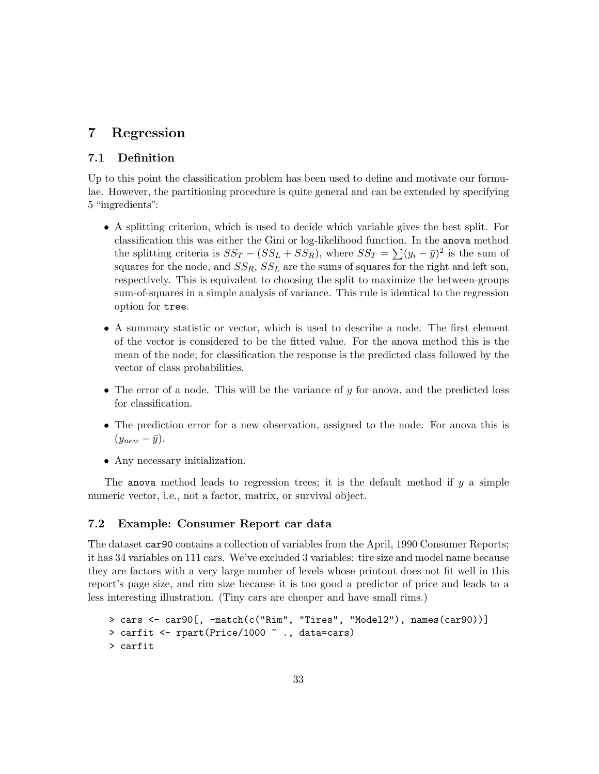## 7 Regression

## 7.1 Definition

Up to this point the classification problem has been used to define and motivate our formulae. However, the partitioning procedure is quite general and can be extended by specifying 5 "ingredients":

- A splitting criterion, which is used to decide which variable gives the best split. For classification this was either the Gini or log-likelihood function. In the anova method the splitting criteria is  $SS_T - (SS_L + SS_R)$ , where  $SS_T = \sum (y_i - \bar{y})^2$  is the sum of squares for the node, and  $SS_R$ ,  $SS_L$  are the sums of squares for the right and left son, respectively. This is equivalent to choosing the split to maximize the between-groups sum-of-squares in a simple analysis of variance. This rule is identical to the regression option for tree.
- A summary statistic or vector, which is used to describe a node. The first element of the vector is considered to be the fitted value. For the anova method this is the mean of the node; for classification the response is the predicted class followed by the vector of class probabilities.
- The error of a node. This will be the variance of  $y$  for anova, and the predicted loss for classification.
- The prediction error for a new observation, assigned to the node. For anova this is  $(y_{new} - \bar{y}).$
- Any necessary initialization.

The anova method leads to regression trees; it is the default method if  $y$  a simple numeric vector, i.e., not a factor, matrix, or survival object.

## 7.2 Example: Consumer Report car data

The dataset car90 contains a collection of variables from the April, 1990 Consumer Reports; it has 34 variables on 111 cars. We've excluded 3 variables: tire size and model name because they are factors with a very large number of levels whose printout does not fit well in this report's page size, and rim size because it is too good a predictor of price and leads to a less interesting illustration. (Tiny cars are cheaper and have small rims.)

```
> cars <- car90[, -match(c("Rim", "Tires", "Model2"), names(car90))]
> carfit <- rpart(Price/1000 ~ ., data=cars)
> carfit
```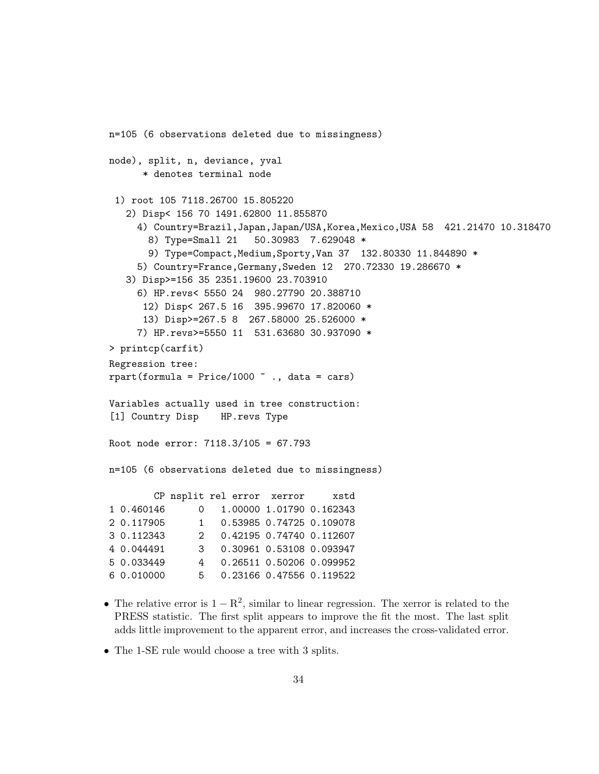```
n=105 (6 observations deleted due to missingness)
node), split, n, deviance, yval
     * denotes terminal node
 1) root 105 7118.26700 15.805220
   2) Disp< 156 70 1491.62800 11.855870
    4) Country=Brazil,Japan,Japan/USA,Korea,Mexico,USA 58 421.21470 10.318470
      8) Type=Small 21 50.30983 7.629048 *
      9) Type=Compact, Medium, Sporty, Van 37 132.80330 11.844890 *
    5) Country=France,Germany,Sweden 12 270.72330 19.286670 *
   3) Disp>=156 35 2351.19600 23.703910
    6) HP.revs< 5550 24 980.27790 20.388710
      12) Disp< 267.5 16 395.99670 17.820060 *
     13) Disp>=267.5 8 267.58000 25.526000 *
    7) HP.revs>=5550 11 531.63680 30.937090 *
> printcp(carfit)
Regression tree:
rpart(formula = Price/1000 \degree., data = cars)
Variables actually used in tree construction:
[1] Country Disp HP.revs Type
Root node error: 7118.3/105 = 67.793
n=105 (6 observations deleted due to missingness)
       CP nsplit rel error xerror xstd
1 0.460146 0 1.00000 1.01790 0.162343
2 0.117905 1 0.53985 0.74725 0.109078
3 0.112343 2 0.42195 0.74740 0.112607
4 0.044491 3 0.30961 0.53108 0.093947
5 0.033449 4 0.26511 0.50206 0.099952
6 0.010000 5 0.23166 0.47556 0.119522
```
- The relative error is  $1 R^2$ , similar to linear regression. The xerror is related to the PRESS statistic. The first split appears to improve the fit the most. The last split adds little improvement to the apparent error, and increases the cross-validated error.
- The 1-SE rule would choose a tree with 3 splits.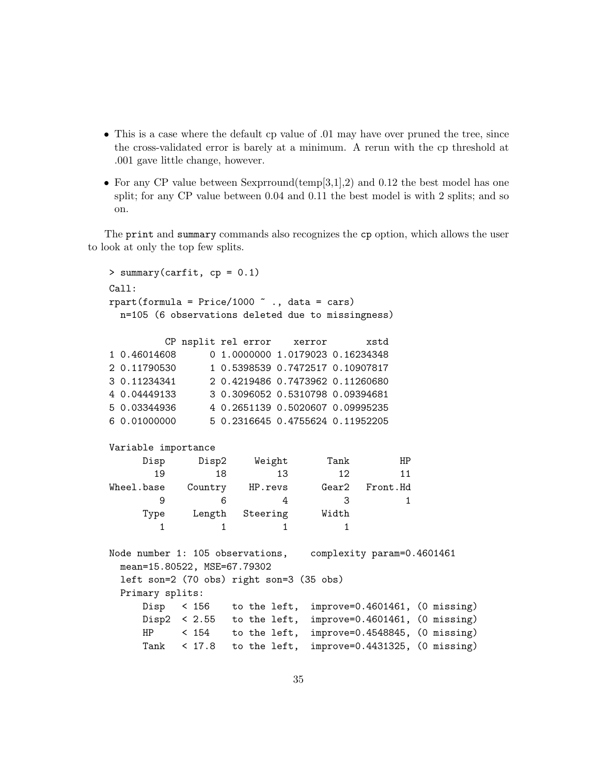- This is a case where the default cp value of 0.01 may have over pruned the tree, since the cross-validated error is barely at a minimum. A rerun with the cp threshold at .001 gave little change, however.
- For any CP value between Sexprround(temp[3,1],2) and 0.12 the best model has one split; for any CP value between 0.04 and 0.11 the best model is with 2 splits; and so on.

The print and summary commands also recognizes the cp option, which allows the user to look at only the top few splits.

```
> summary(carfit, cp = 0.1)
Call:
rpart(formula = Price/1000 \degree., data = cars)
 n=105 (6 observations deleted due to missingness)
        CP nsplit rel error xerror xstd
1 0.46014608 0 1.0000000 1.0179023 0.16234348
2 0.11790530 1 0.5398539 0.7472517 0.10907817
3 0.11234341 2 0.4219486 0.7473962 0.11260680
4 0.04449133 3 0.3096052 0.5310798 0.09394681
5 0.03344936 4 0.2651139 0.5020607 0.09995235
6 0.01000000 5 0.2316645 0.4755624 0.11952205
Variable importance
     Disp Disp2 Weight Tank HP
       19 18 13 12 11
Wheel.base Country HP.revs Gear2 Front.Hd
       9 6 4 3 1
     Type Length Steering Width
       1 1 1 1
Node number 1: 105 observations, complexity param=0.4601461
 mean=15.80522, MSE=67.79302
 left son=2 (70 obs) right son=3 (35 obs)
 Primary splits:
     Disp < 156 to the left, improve=0.4601461, (0 missing)
     Disp2 < 2.55 to the left, improve=0.4601461, (0 missing)
     HP < 154 to the left, improve=0.4548845, (0 missing)
     Tank < 17.8 to the left, improve=0.4431325, (0 missing)
```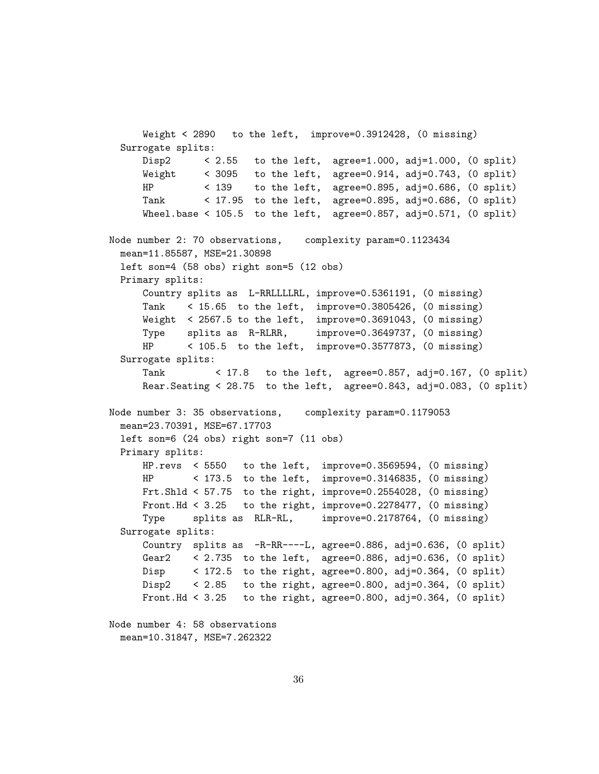Weight < 2890 to the left, improve=0.3912428, (0 missing) Surrogate splits: Disp2  $\leq$  2.55 to the left, agree=1.000, adj=1.000, (0 split) Weight < 3095 to the left, agree=0.914, adj=0.743, (0 split) HP < 139 to the left, agree=0.895, adj=0.686, (0 split) Tank < 17.95 to the left, agree=0.895, adj=0.686, (0 split) Wheel.base <  $105.5$  to the left, agree=0.857, adj=0.571, (0 split) Node number 2: 70 observations, complexity param=0.1123434 mean=11.85587, MSE=21.30898 left son=4 (58 obs) right son=5 (12 obs) Primary splits: Country splits as L-RRLLLLRL, improve=0.5361191, (0 missing) Tank < 15.65 to the left, improve=0.3805426, (0 missing) Weight < 2567.5 to the left, improve=0.3691043, (0 missing) Type splits as R-RLRR, improve=0.3649737, (0 missing) HP < 105.5 to the left, improve=0.3577873, (0 missing) Surrogate splits: Tank < 17.8 to the left, agree=0.857, adj=0.167, (0 split) Rear.Seating < 28.75 to the left, agree=0.843, adj=0.083, (0 split) Node number 3: 35 observations, complexity param=0.1179053 mean=23.70391, MSE=67.17703 left son=6 (24 obs) right son=7 (11 obs) Primary splits: HP.revs < 5550 to the left, improve=0.3569594, (0 missing) HP < 173.5 to the left, improve=0.3146835, (0 missing) Frt.Shld < 57.75 to the right, improve=0.2554028, (0 missing) Front.Hd < 3.25 to the right, improve=0.2278477, (0 missing) Type splits as RLR-RL, improve=0.2178764, (0 missing) Surrogate splits: Country splits as -R-RR----L, agree=0.886, adj=0.636, (0 split) Gear2 < 2.735 to the left, agree=0.886, adj=0.636, (0 split) Disp < 172.5 to the right, agree=0.800, adj=0.364, (0 split) Disp2  $\leq$  2.85 to the right, agree=0.800, adj=0.364, (0 split) Front.Hd <  $3.25$  to the right, agree=0.800, adj=0.364, (0 split) Node number 4: 58 observations

```
mean=10.31847, MSE=7.262322
```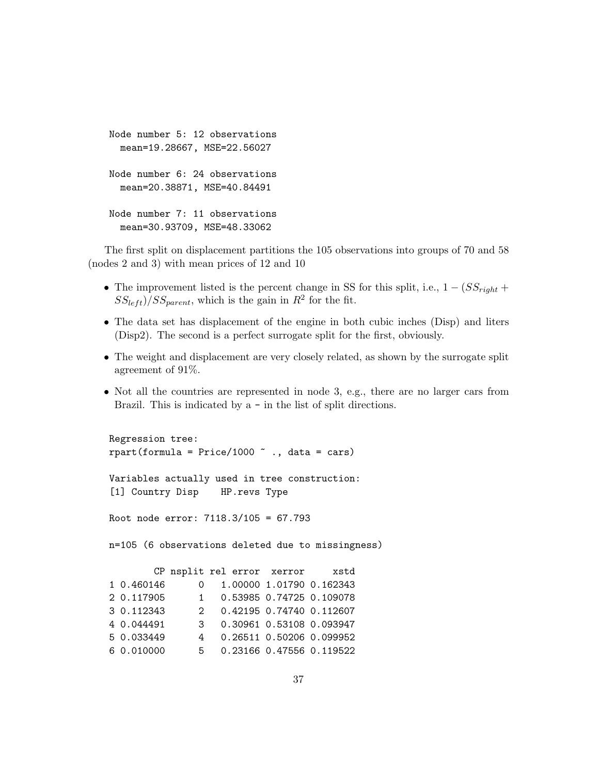```
Node number 5: 12 observations
  mean=19.28667, MSE=22.56027
Node number 6: 24 observations
  mean=20.38871, MSE=40.84491
Node number 7: 11 observations
  mean=30.93709, MSE=48.33062
```
The first split on displacement partitions the 105 observations into groups of 70 and 58 (nodes 2 and 3) with mean prices of 12 and 10

- The improvement listed is the percent change in SS for this split, i.e.,  $1 (SS_{ri} +$  $SS_{left}$ /SS<sub>parent</sub>, which is the gain in  $R^2$  for the fit.
- The data set has displacement of the engine in both cubic inches (Disp) and liters (Disp2). The second is a perfect surrogate split for the first, obviously.
- The weight and displacement are very closely related, as shown by the surrogate split agreement of 91%.
- Not all the countries are represented in node 3, e.g., there are no larger cars from Brazil. This is indicated by a - in the list of split directions.

```
Regression tree:
rpart(formula = Price/1000 \degree., data = cars)
Variables actually used in tree construction:
[1] Country Disp HP.revs Type
Root node error: 7118.3/105 = 67.793
n=105 (6 observations deleted due to missingness)
       CP nsplit rel error xerror xstd
1 0.460146 0 1.00000 1.01790 0.162343
2 0.117905 1 0.53985 0.74725 0.109078
3 0.112343 2 0.42195 0.74740 0.112607
4 0.044491 3 0.30961 0.53108 0.093947
5 0.033449 4 0.26511 0.50206 0.099952
6 0.010000 5 0.23166 0.47556 0.119522
```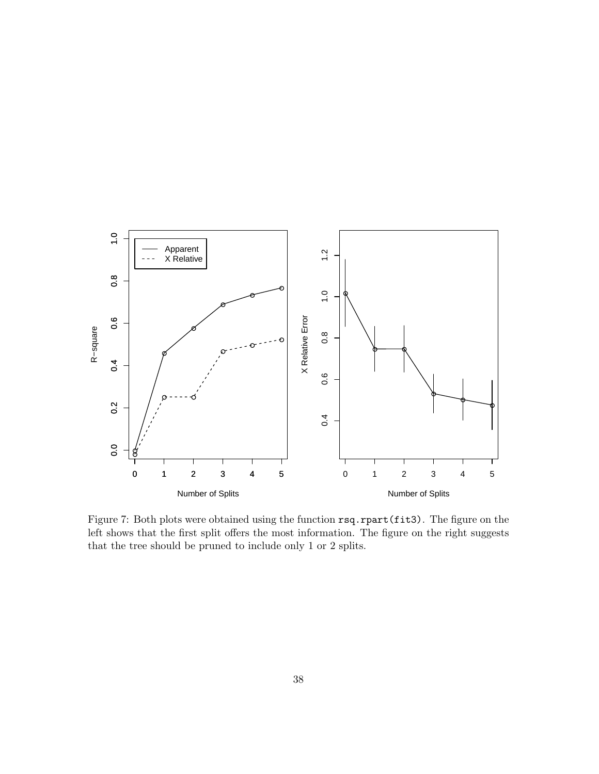

Figure 7: Both plots were obtained using the function rsq.rpart(fit3). The figure on the left shows that the first split offers the most information. The figure on the right suggests that the tree should be pruned to include only 1 or 2 splits.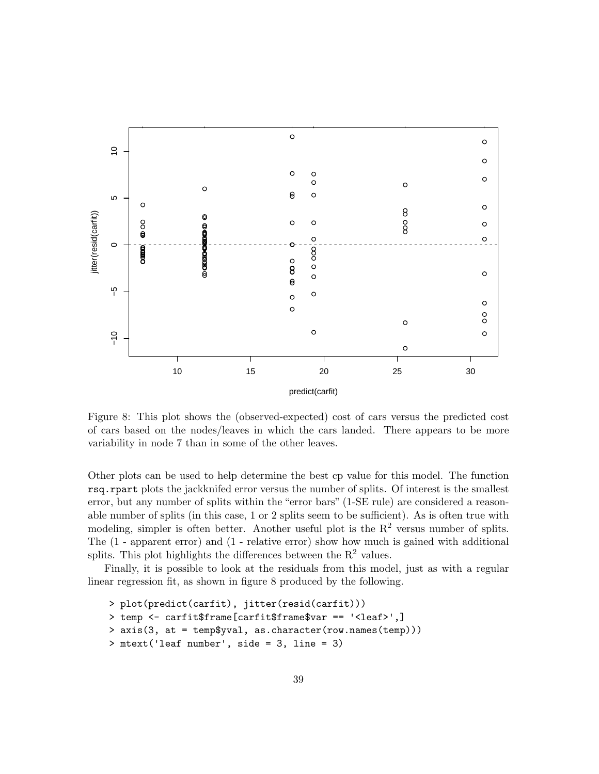

Figure 8: This plot shows the (observed-expected) cost of cars versus the predicted cost of cars based on the nodes/leaves in which the cars landed. There appears to be more variability in node 7 than in some of the other leaves.

Other plots can be used to help determine the best cp value for this model. The function rsq.rpart plots the jackknifed error versus the number of splits. Of interest is the smallest error, but any number of splits within the "error bars" (1-SE rule) are considered a reasonable number of splits (in this case, 1 or 2 splits seem to be sufficient). As is often true with modeling, simpler is often better. Another useful plot is the  $R^2$  versus number of splits. The (1 - apparent error) and (1 - relative error) show how much is gained with additional splits. This plot highlights the differences between the  $R<sup>2</sup>$  values.

Finally, it is possible to look at the residuals from this model, just as with a regular linear regression fit, as shown in figure 8 produced by the following.

```
> plot(predict(carfit), jitter(resid(carfit)))
> temp <- carfit$frame[carfit$frame$var == '<leaf>',]
> axis(3, at = temp$yval, as.character(row.names(temp)))
> mtext('leaf number', side = 3, line = 3)
```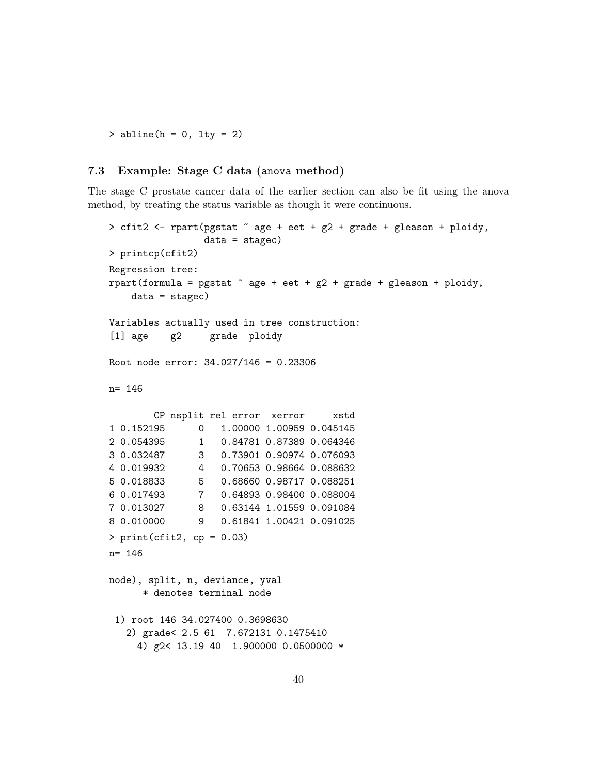$>$  abline(h = 0, lty = 2)

## 7.3 Example: Stage C data (anova method)

The stage C prostate cancer data of the earlier section can also be fit using the anova method, by treating the status variable as though it were continuous.

```
> cfit2 <- rpart(pgstat ~ age + eet + g2 + grade + gleason + ploidy,
                data = stagec)
> printcp(cfit2)
Regression tree:
rpart(formula = pgstat \tilde{ } age + eet + g2 + grade + gleason + ploidy,
   data = stagec)Variables actually used in tree construction:
[1] age g2 grade ploidy
Root node error: 34.027/146 = 0.23306
n= 146
       CP nsplit rel error xerror xstd
1 0.152195 0 1.00000 1.00959 0.045145
2 0.054395 1 0.84781 0.87389 0.064346
3 0.032487 3 0.73901 0.90974 0.076093
4 0.019932 4 0.70653 0.98664 0.088632
5 0.018833 5 0.68660 0.98717 0.088251
6 0.017493 7 0.64893 0.98400 0.088004
7 0.013027 8 0.63144 1.01559 0.091084
8 0.010000 9 0.61841 1.00421 0.091025
> print(cfit2, cp = 0.03)n= 146
node), split, n, deviance, yval
     * denotes terminal node
 1) root 146 34.027400 0.3698630
  2) grade< 2.5 61 7.672131 0.1475410
    4) g2< 13.19 40 1.900000 0.0500000 *
```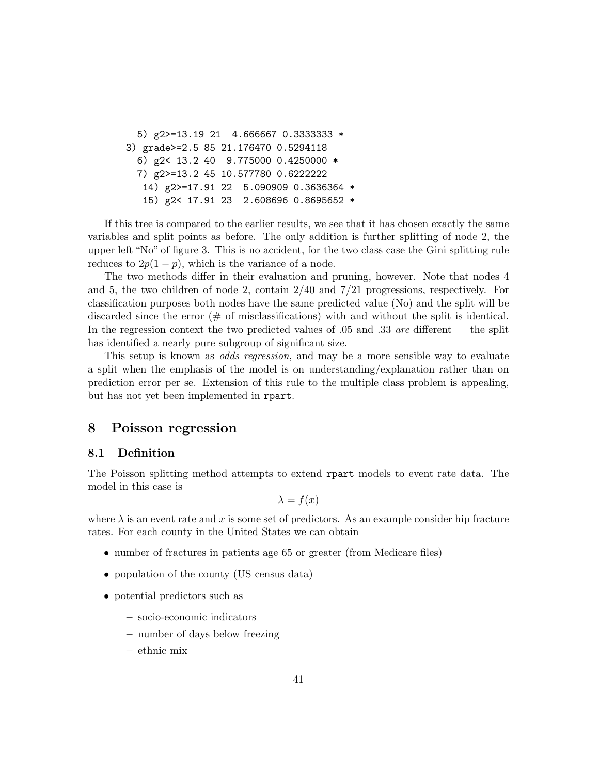5) g2>=13.19 21 4.666667 0.3333333 \* 3) grade>=2.5 85 21.176470 0.5294118 6) g2< 13.2 40 9.775000 0.4250000 \* 7) g2>=13.2 45 10.577780 0.6222222 14) g2>=17.91 22 5.090909 0.3636364 \* 15) g2< 17.91 23 2.608696 0.8695652 \*

If this tree is compared to the earlier results, we see that it has chosen exactly the same variables and split points as before. The only addition is further splitting of node 2, the upper left "No" of figure 3. This is no accident, for the two class case the Gini splitting rule reduces to  $2p(1-p)$ , which is the variance of a node.

The two methods differ in their evaluation and pruning, however. Note that nodes 4 and 5, the two children of node 2, contain 2/40 and 7/21 progressions, respectively. For classification purposes both nodes have the same predicted value (No) and the split will be discarded since the error  $(\# \text{ of misclassifications})$  with and without the split is identical. In the regression context the two predicted values of .05 and .33 are different — the split has identified a nearly pure subgroup of significant size.

This setup is known as odds regression, and may be a more sensible way to evaluate a split when the emphasis of the model is on understanding/explanation rather than on prediction error per se. Extension of this rule to the multiple class problem is appealing, but has not yet been implemented in rpart.

## 8 Poisson regression

### 8.1 Definition

The Poisson splitting method attempts to extend rpart models to event rate data. The model in this case is

$$
\lambda = f(x)
$$

where  $\lambda$  is an event rate and x is some set of predictors. As an example consider hip fracture rates. For each county in the United States we can obtain

- number of fractures in patients age 65 or greater (from Medicare files)
- population of the county (US census data)
- potential predictors such as
	- socio-economic indicators
	- number of days below freezing
	- ethnic mix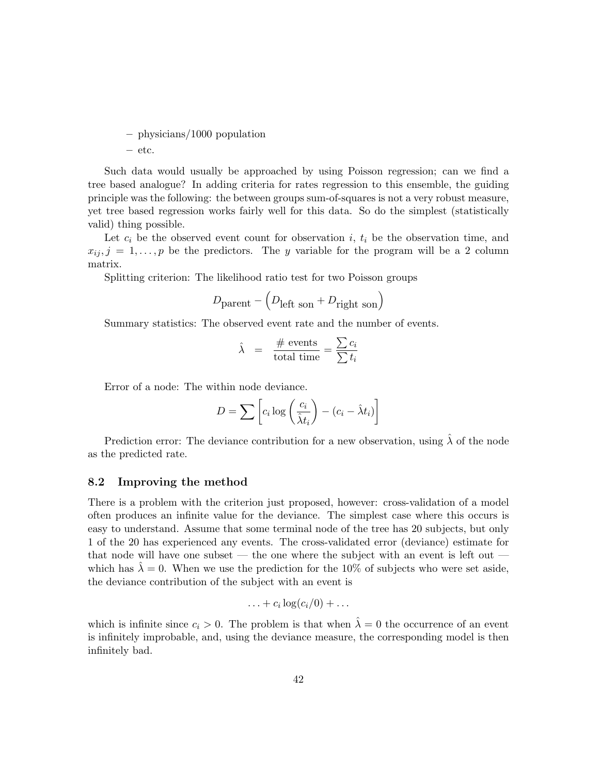– physicians/1000 population – etc.

Such data would usually be approached by using Poisson regression; can we find a tree based analogue? In adding criteria for rates regression to this ensemble, the guiding principle was the following: the between groups sum-of-squares is not a very robust measure, yet tree based regression works fairly well for this data. So do the simplest (statistically valid) thing possible.

Let  $c_i$  be the observed event count for observation i,  $t_i$  be the observation time, and  $x_{ij}, j = 1, \ldots, p$  be the predictors. The y variable for the program will be a 2 column matrix.

Splitting criterion: The likelihood ratio test for two Poisson groups

$$
D_{\text{parent}} - \left(D_{\text{left son}} + D_{\text{right son}}\right)
$$

Summary statistics: The observed event rate and the number of events.

$$
\hat{\lambda} = \frac{\text{\# events}}{\text{total time}} = \frac{\sum c_i}{\sum t_i}
$$

Error of a node: The within node deviance.

$$
D = \sum \left[ c_i \log \left( \frac{c_i}{\hat{\lambda} t_i} \right) - (c_i - \hat{\lambda} t_i) \right]
$$

Prediction error: The deviance contribution for a new observation, using  $\hat{\lambda}$  of the node as the predicted rate.

#### 8.2 Improving the method

There is a problem with the criterion just proposed, however: cross-validation of a model often produces an infinite value for the deviance. The simplest case where this occurs is easy to understand. Assume that some terminal node of the tree has 20 subjects, but only 1 of the 20 has experienced any events. The cross-validated error (deviance) estimate for that node will have one subset — the one where the subject with an event is left out which has  $\lambda = 0$ . When we use the prediction for the 10% of subjects who were set aside, the deviance contribution of the subject with an event is

$$
\ldots + c_i \log(c_i/0) + \ldots
$$

which is infinite since  $c_i > 0$ . The problem is that when  $\hat{\lambda} = 0$  the occurrence of an event is infinitely improbable, and, using the deviance measure, the corresponding model is then infinitely bad.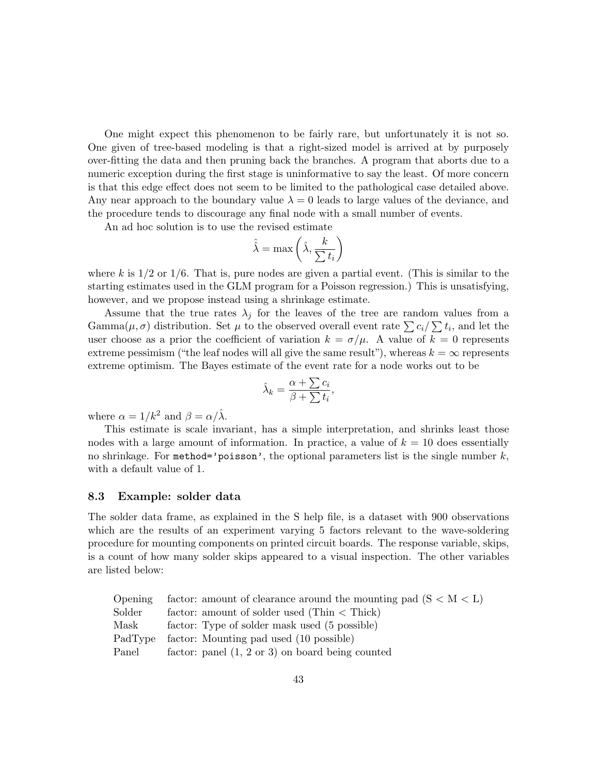One might expect this phenomenon to be fairly rare, but unfortunately it is not so. One given of tree-based modeling is that a right-sized model is arrived at by purposely over-fitting the data and then pruning back the branches. A program that aborts due to a numeric exception during the first stage is uninformative to say the least. Of more concern is that this edge effect does not seem to be limited to the pathological case detailed above. Any near approach to the boundary value  $\lambda = 0$  leads to large values of the deviance, and the procedure tends to discourage any final node with a small number of events.

An ad hoc solution is to use the revised estimate

$$
\hat{\hat{\lambda}} = \max\left(\hat{\lambda}, \frac{k}{\sum t_i}\right)
$$

where k is  $1/2$  or  $1/6$ . That is, pure nodes are given a partial event. (This is similar to the starting estimates used in the GLM program for a Poisson regression.) This is unsatisfying, however, and we propose instead using a shrinkage estimate.

Assume that the true rates  $\lambda_j$  for the leaves of the tree are random values from a  $\text{Gamma}(\mu, \sigma)$  distribution. Set  $\mu$  to the observed overall event rate  $\sum c_i / \sum t_i$ , and let the user choose as a prior the coefficient of variation  $k = \sigma/\mu$ . A value of  $k = 0$  represents extreme pessimism ("the leaf nodes will all give the same result"), whereas  $k = \infty$  represents extreme optimism. The Bayes estimate of the event rate for a node works out to be

$$
\hat{\lambda}_k = \frac{\alpha + \sum c_i}{\beta + \sum t_i},
$$

where  $\alpha = 1/k^2$  and  $\beta = \alpha/\hat{\lambda}$ .

This estimate is scale invariant, has a simple interpretation, and shrinks least those nodes with a large amount of information. In practice, a value of  $k = 10$  does essentially no shrinkage. For method='poisson', the optional parameters list is the single number  $k$ , with a default value of 1.

#### 8.3 Example: solder data

The solder data frame, as explained in the S help file, is a dataset with 900 observations which are the results of an experiment varying 5 factors relevant to the wave-soldering procedure for mounting components on printed circuit boards. The response variable, skips, is a count of how many solder skips appeared to a visual inspection. The other variables are listed below:

|        | Opening factor: amount of clearance around the mounting pad $(S < M < L)$ |
|--------|---------------------------------------------------------------------------|
| Solder | factor: amount of solder used (Thin $\langle$ Thick)                      |
| Mask   | factor: Type of solder mask used (5 possible)                             |
|        | PadType factor: Mounting pad used (10 possible)                           |
| Panel  | factor: panel $(1, 2 \text{ or } 3)$ on board being counted               |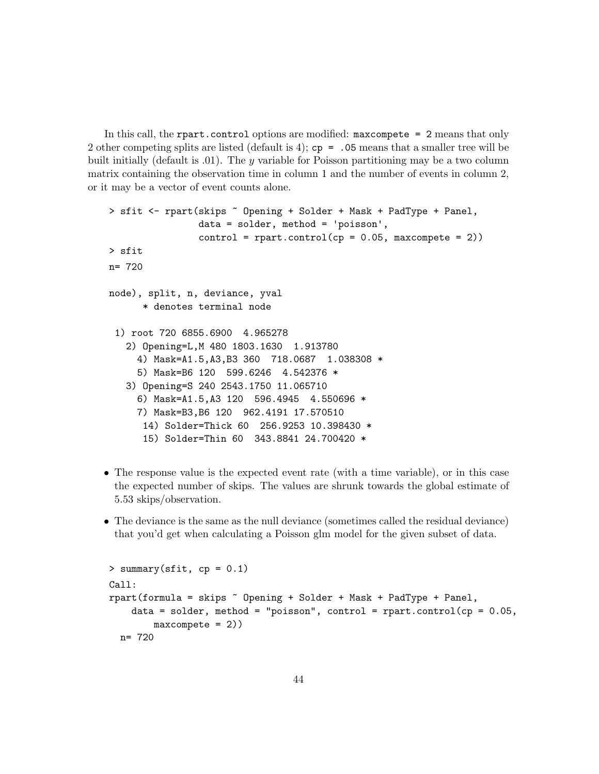In this call, the rpart.control options are modified: maxcompete = 2 means that only 2 other competing splits are listed (default is 4);  $cp = .05$  means that a smaller tree will be built initially (default is  $.01$ ). The y variable for Poisson partitioning may be a two column matrix containing the observation time in column 1 and the number of events in column 2, or it may be a vector of event counts alone.

```
> sfit <- rpart(skips ~ Opening + Solder + Mask + PadType + Panel,
               data = solder, method = 'poisson',
                control = rpart.contrib(cp = 0.05, maxcomplete = 2)> sfit
n= 720
node), split, n, deviance, yval
      * denotes terminal node
 1) root 720 6855.6900 4.965278
   2) Opening=L,M 480 1803.1630 1.913780
    4) Mask=A1.5,A3,B3 360 718.0687 1.038308 *
     5) Mask=B6 120 599.6246 4.542376 *
   3) Opening=S 240 2543.1750 11.065710
     6) Mask=A1.5,A3 120 596.4945 4.550696 *
    7) Mask=B3,B6 120 962.4191 17.570510
      14) Solder=Thick 60 256.9253 10.398430 *
      15) Solder=Thin 60 343.8841 24.700420 *
```
- The response value is the expected event rate (with a time variable), or in this case the expected number of skips. The values are shrunk towards the global estimate of 5.53 skips/observation.
- The deviance is the same as the null deviance (sometimes called the residual deviance) that you'd get when calculating a Poisson glm model for the given subset of data.

```
> summary(sfit, cp = 0.1)
Call:
rpart(formula = skips \tilde{b} Opening + Solder + Mask + PadType + Panel,
    data = solder, method = "poisson", control = rpart.control(cp = 0.05,
        max compete = 2)n= 720
```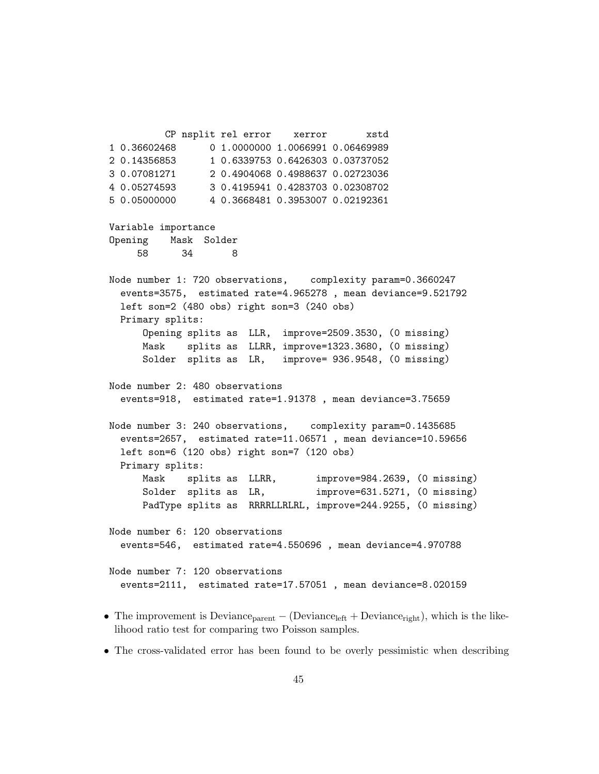CP nsplit rel error xerror xstd 1 0.36602468 0 1.0000000 1.0066991 0.06469989 2 0.14356853 1 0.6339753 0.6426303 0.03737052 3 0.07081271 2 0.4904068 0.4988637 0.02723036 4 0.05274593 3 0.4195941 0.4283703 0.02308702 5 0.05000000 4 0.3668481 0.3953007 0.02192361 Variable importance Opening Mask Solder 58 34 8 Node number 1: 720 observations, complexity param=0.3660247 events=3575, estimated rate=4.965278 , mean deviance=9.521792 left son=2 (480 obs) right son=3 (240 obs) Primary splits: Opening splits as LLR, improve=2509.3530, (0 missing) Mask splits as LLRR, improve=1323.3680, (0 missing) Solder splits as LR, improve= 936.9548, (0 missing) Node number 2: 480 observations events=918, estimated rate=1.91378 , mean deviance=3.75659 Node number 3: 240 observations, complexity param=0.1435685 events=2657, estimated rate=11.06571 , mean deviance=10.59656 left son=6 (120 obs) right son=7 (120 obs) Primary splits: Mask splits as LLRR, improve=984.2639, (0 missing) Solder splits as LR, improve=631.5271, (0 missing) PadType splits as RRRRLLRLRL, improve=244.9255, (0 missing) Node number 6: 120 observations events=546, estimated rate=4.550696 , mean deviance=4.970788 Node number 7: 120 observations events=2111, estimated rate=17.57051 , mean deviance=8.020159

- The improvement is Deviance<sub>parent</sub> (Deviance<sub>left</sub> + Deviance<sub>right</sub>), which is the likelihood ratio test for comparing two Poisson samples.
- The cross-validated error has been found to be overly pessimistic when describing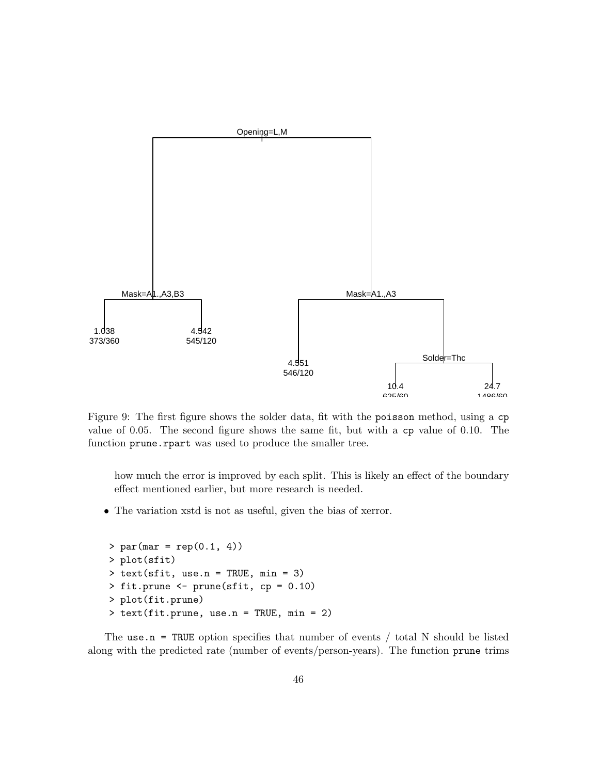

Figure 9: The first figure shows the solder data, fit with the poisson method, using a cp value of 0.05. The second figure shows the same fit, but with a cp value of 0.10. The function prune.rpart was used to produce the smaller tree.

how much the error is improved by each split. This is likely an effect of the boundary effect mentioned earlier, but more research is needed.

• The variation xstd is not as useful, given the bias of xerror.

```
> par(max = rep(0.1, 4))> plot(sfit)
> text(sfit, use.n = TRUE, min = 3)
> fit.prune <- prune(sfit, cp = 0.10)
> plot(fit.prune)
> text(fit.prune, use.n = TRUE, min = 2)
```
The use.n = TRUE option specifies that number of events  $/$  total N should be listed along with the predicted rate (number of events/person-years). The function prune trims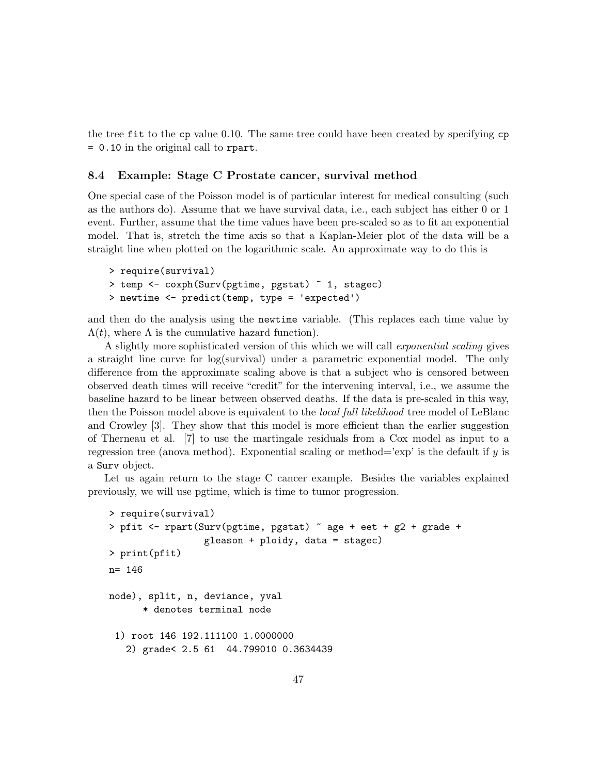the tree fit to the cp value 0.10. The same tree could have been created by specifying cp = 0.10 in the original call to rpart.

### 8.4 Example: Stage C Prostate cancer, survival method

One special case of the Poisson model is of particular interest for medical consulting (such as the authors do). Assume that we have survival data, i.e., each subject has either 0 or 1 event. Further, assume that the time values have been pre-scaled so as to fit an exponential model. That is, stretch the time axis so that a Kaplan-Meier plot of the data will be a straight line when plotted on the logarithmic scale. An approximate way to do this is

```
> require(survival)
> temp <- coxph(Surv(pgtime, pgstat) ~ 1, stagec)
> newtime <- predict(temp, type = 'expected')
```
and then do the analysis using the newtime variable. (This replaces each time value by  $\Lambda(t)$ , where  $\Lambda$  is the cumulative hazard function).

A slightly more sophisticated version of this which we will call exponential scaling gives a straight line curve for log(survival) under a parametric exponential model. The only difference from the approximate scaling above is that a subject who is censored between observed death times will receive "credit" for the intervening interval, i.e., we assume the baseline hazard to be linear between observed deaths. If the data is pre-scaled in this way, then the Poisson model above is equivalent to the *local full likelihood* tree model of LeBlanc and Crowley [3]. They show that this model is more efficient than the earlier suggestion of Therneau et al. [7] to use the martingale residuals from a Cox model as input to a regression tree (anova method). Exponential scaling or method= $\exp$  is the default if y is a Surv object.

Let us again return to the stage C cancer example. Besides the variables explained previously, we will use pgtime, which is time to tumor progression.

```
> require(survival)
> pfit <- rpart(Surv(pgtime, pgstat) ~ age + eet + g2 + grade +
                 gleason + ploidy, data = stagec)
> print(pfit)
n= 146
node), split, n, deviance, yval
      * denotes terminal node
 1) root 146 192.111100 1.0000000
   2) grade< 2.5 61 44.799010 0.3634439
```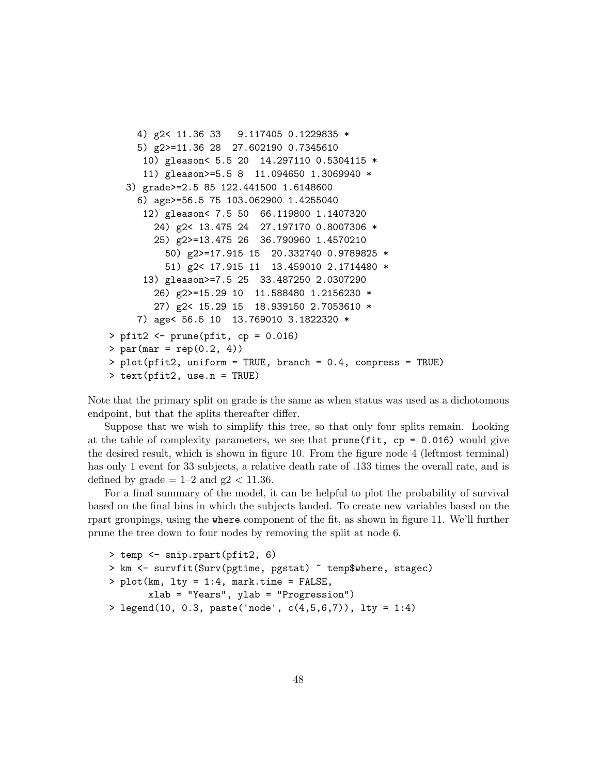```
4) g2< 11.36 33 9.117405 0.1229835 *
    5) g2>=11.36 28 27.602190 0.7345610
      10) gleason< 5.5 20 14.297110 0.5304115 *
      11) gleason>=5.5 8 11.094650 1.3069940 *
   3) grade>=2.5 85 122.441500 1.6148600
     6) age>=56.5 75 103.062900 1.4255040
      12) gleason< 7.5 50 66.119800 1.1407320
        24) g2< 13.475 24 27.197170 0.8007306 *
        25) g2>=13.475 26 36.790960 1.4570210
          50) g2>=17.915 15 20.332740 0.9789825 *
          51) g2< 17.915 11 13.459010 2.1714480 *
      13) gleason>=7.5 25 33.487250 2.0307290
        26) g2>=15.29 10 11.588480 1.2156230 *
        27) g2< 15.29 15 18.939150 2.7053610 *
    7) age< 56.5 10 13.769010 3.1822320 *
> pfit2 <- prune(pfit, cp = 0.016)
> par(max = rep(0.2, 4))> plot(pfit2, uniform = TRUE, branch = 0.4, compress = TRUE)
> text(pfit2, use.n = TRUE)
```
Note that the primary split on grade is the same as when status was used as a dichotomous endpoint, but that the splits thereafter differ.

Suppose that we wish to simplify this tree, so that only four splits remain. Looking at the table of complexity parameters, we see that  $prune(fit, cp = 0.016)$  would give the desired result, which is shown in figure 10. From the figure node 4 (leftmost terminal) has only 1 event for 33 subjects, a relative death rate of  $.133$  times the overall rate, and is defined by grade  $= 1-2$  and g2  $< 11.36$ .

For a final summary of the model, it can be helpful to plot the probability of survival based on the final bins in which the subjects landed. To create new variables based on the rpart groupings, using the where component of the fit, as shown in figure 11. We'll further prune the tree down to four nodes by removing the split at node 6.

```
> temp <- snip.rpart(pfit2, 6)
> km <- survfit(Surv(pgtime, pgstat) ~ temp$where, stagec)
> plot(km, lty = 1:4, mark.time = FALSE,
       xlab = "Years", ylab = "Progression")
> legend(10, 0.3, paste('node', c(4,5,6,7)), lty = 1:4)
```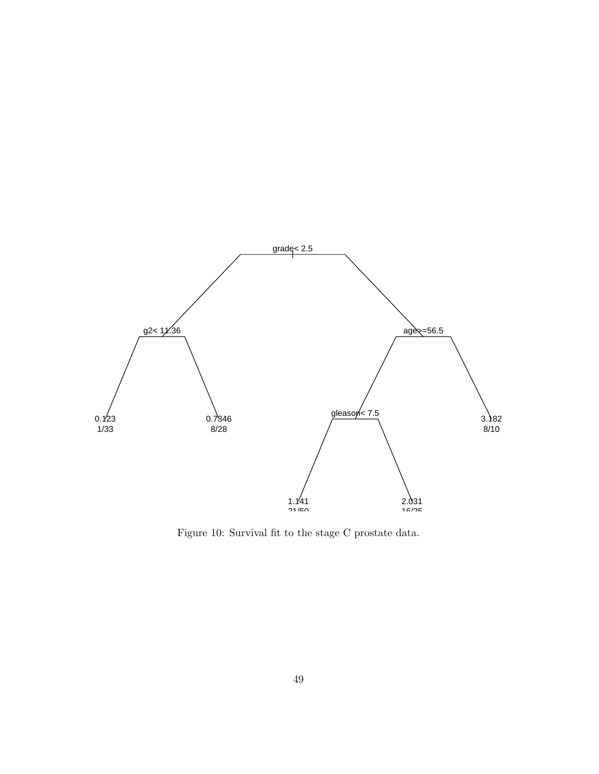

Figure 10: Survival fit to the stage C prostate data.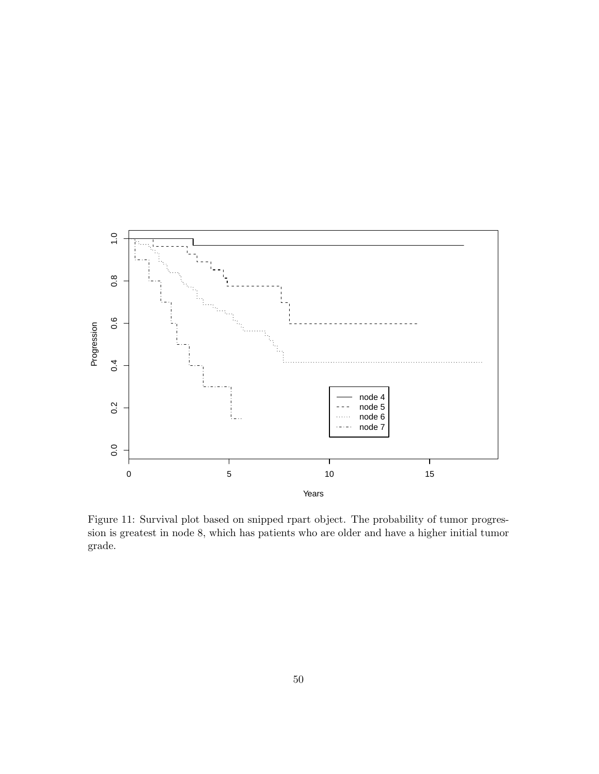

Figure 11: Survival plot based on snipped rpart object. The probability of tumor progression is greatest in node 8, which has patients who are older and have a higher initial tumor grade.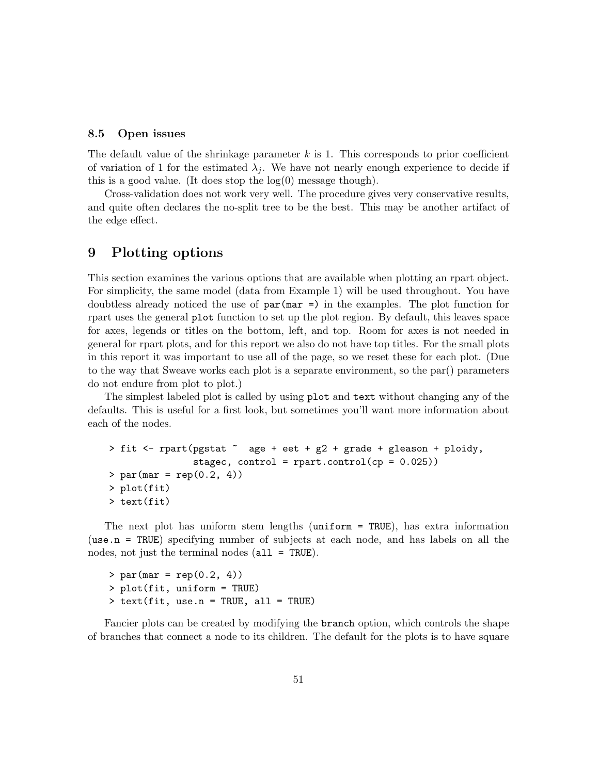#### 8.5 Open issues

The default value of the shrinkage parameter  $k$  is 1. This corresponds to prior coefficient of variation of 1 for the estimated  $\lambda_i$ . We have not nearly enough experience to decide if this is a good value. (It does stop the  $log(0)$  message though).

Cross-validation does not work very well. The procedure gives very conservative results, and quite often declares the no-split tree to be the best. This may be another artifact of the edge effect.

## 9 Plotting options

This section examines the various options that are available when plotting an rpart object. For simplicity, the same model (data from Example 1) will be used throughout. You have doubtless already noticed the use of  $par(max =)$  in the examples. The plot function for rpart uses the general plot function to set up the plot region. By default, this leaves space for axes, legends or titles on the bottom, left, and top. Room for axes is not needed in general for rpart plots, and for this report we also do not have top titles. For the small plots in this report it was important to use all of the page, so we reset these for each plot. (Due to the way that Sweave works each plot is a separate environment, so the par() parameters do not endure from plot to plot.)

The simplest labeled plot is called by using plot and text without changing any of the defaults. This is useful for a first look, but sometimes you'll want more information about each of the nodes.

```
> fit <- rpart(pgstat ~ age + eet + g2 + grade + gleason + ploidy,
               stagec, control = rpart.control(cp = 0.025))
> par(max = rep(0.2, 4))> plot(fit)
> text(fit)
```
The next plot has uniform stem lengths (uniform = TRUE), has extra information (use.n = TRUE) specifying number of subjects at each node, and has labels on all the nodes, not just the terminal nodes (all = TRUE).

 $> par(max = rep(0.2, 4))$ > plot(fit, uniform = TRUE) > text(fit, use.n = TRUE, all = TRUE)

Fancier plots can be created by modifying the branch option, which controls the shape of branches that connect a node to its children. The default for the plots is to have square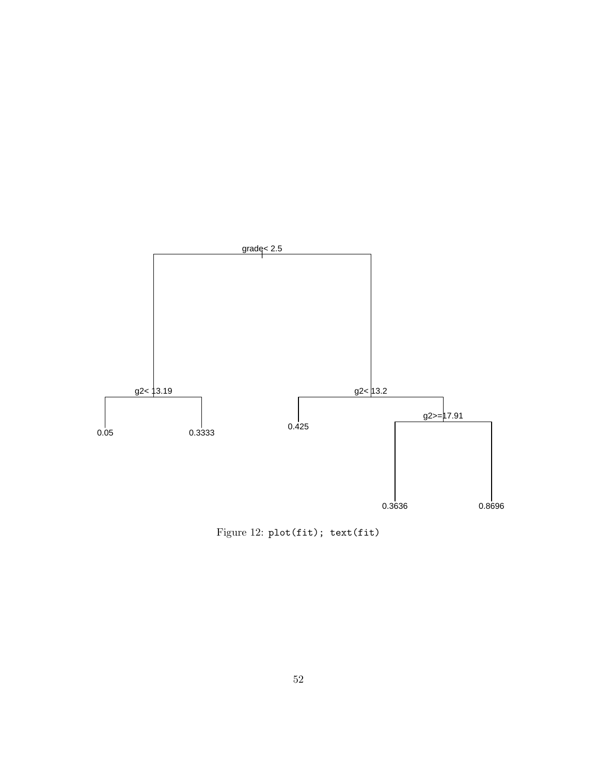

Figure 12: plot(fit); text(fit)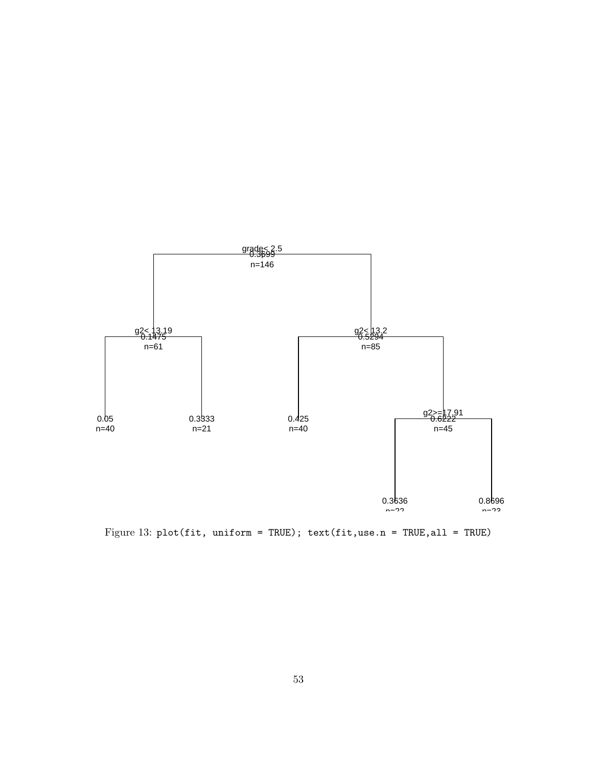

Figure 13: plot(fit, uniform = TRUE); text(fit,use.n = TRUE, all = TRUE)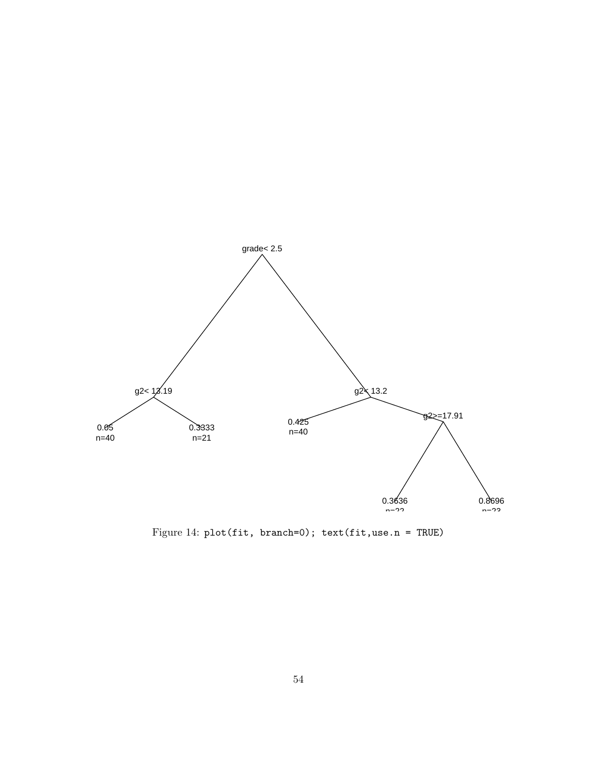

Figure 14: plot(fit, branch=0); text(fit,use.n = TRUE)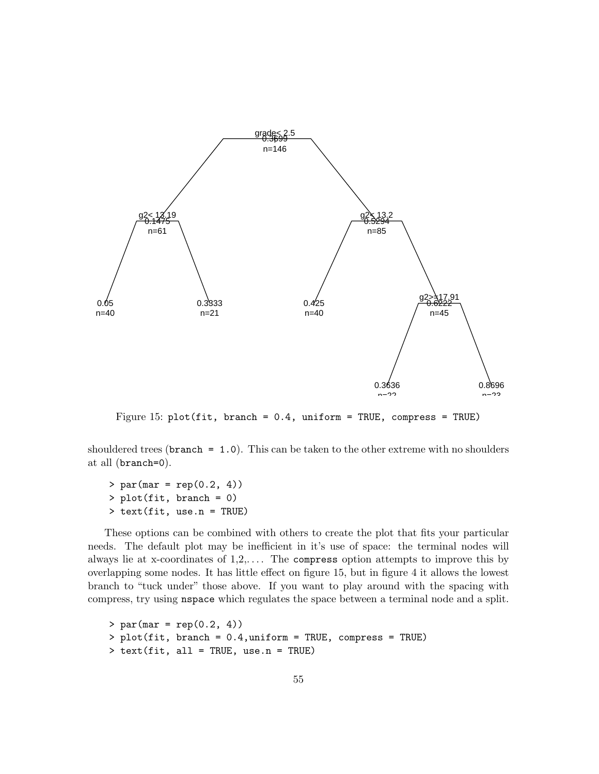

Figure 15: plot(fit, branch = 0.4, uniform = TRUE, compress = TRUE)

shouldered trees ( $branch = 1.0$ ). This can be taken to the other extreme with no shoulders at all (branch=0).

 $> par(max = rep(0.2, 4))$ > plot(fit, branch = 0) > text(fit, use.n = TRUE)

These options can be combined with others to create the plot that fits your particular needs. The default plot may be inefficient in it's use of space: the terminal nodes will always lie at x-coordinates of  $1,2,...$  The compress option attempts to improve this by overlapping some nodes. It has little effect on figure 15, but in figure 4 it allows the lowest branch to "tuck under" those above. If you want to play around with the spacing with compress, try using nspace which regulates the space between a terminal node and a split.

```
> par(max = rep(0.2, 4))> plot(fit, branch = 0.4,uniform = TRUE, compress = TRUE)
> text(fit, all = TRUE, use.n = TRUE)
```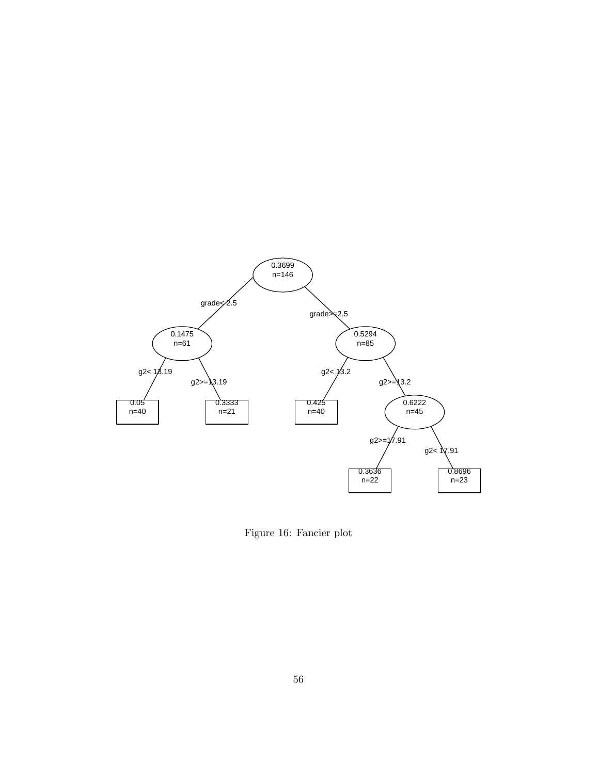

Figure 16: Fancier plot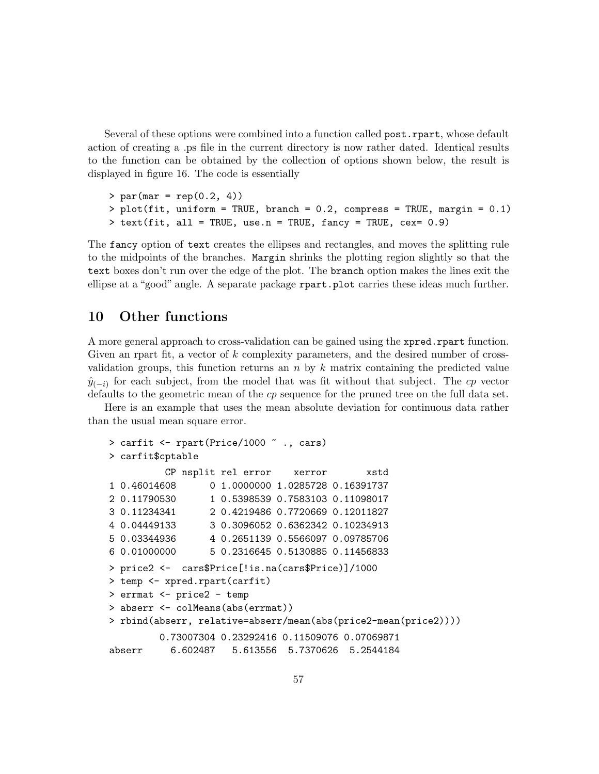Several of these options were combined into a function called post.rpart, whose default action of creating a .ps file in the current directory is now rather dated. Identical results to the function can be obtained by the collection of options shown below, the result is displayed in figure 16. The code is essentially

 $> par(max = rep(0.2, 4))$  $>$  plot(fit, uniform = TRUE, branch = 0.2, compress = TRUE, margin = 0.1) > text(fit, all = TRUE, use.n = TRUE, fancy = TRUE, cex= 0.9)

The fancy option of text creates the ellipses and rectangles, and moves the splitting rule to the midpoints of the branches. Margin shrinks the plotting region slightly so that the text boxes don't run over the edge of the plot. The branch option makes the lines exit the ellipse at a "good" angle. A separate package rpart.plot carries these ideas much further.

## 10 Other functions

A more general approach to cross-validation can be gained using the xpred.rpart function. Given an rpart fit, a vector of k complexity parameters, and the desired number of crossvalidation groups, this function returns an  $n$  by  $k$  matrix containing the predicted value  $\hat{y}_{(-i)}$  for each subject, from the model that was fit without that subject. The cp vector defaults to the geometric mean of the cp sequence for the pruned tree on the full data set.

Here is an example that uses the mean absolute deviation for continuous data rather than the usual mean square error.

```
> carfit <- rpart(Price/1000 ~ ., cars)
> carfit$cptable
         CP nsplit rel error xerror xstd
1 0.46014608 0 1.0000000 1.0285728 0.16391737
2 0.11790530 1 0.5398539 0.7583103 0.11098017
3 0.11234341 2 0.4219486 0.7720669 0.12011827
4 0.04449133 3 0.3096052 0.6362342 0.10234913
5 0.03344936 4 0.2651139 0.5566097 0.09785706
6 0.01000000 5 0.2316645 0.5130885 0.11456833
> price2 <- cars$Price[!is.na(cars$Price)]/1000
> temp <- xpred.rpart(carfit)
> errmat <- price2 - temp
> abserr <- colMeans(abs(errmat))
> rbind(abserr, relative=abserr/mean(abs(price2-mean(price2))))
        0.73007304 0.23292416 0.11509076 0.07069871
abserr 6.602487 5.613556 5.7370626 5.2544184
```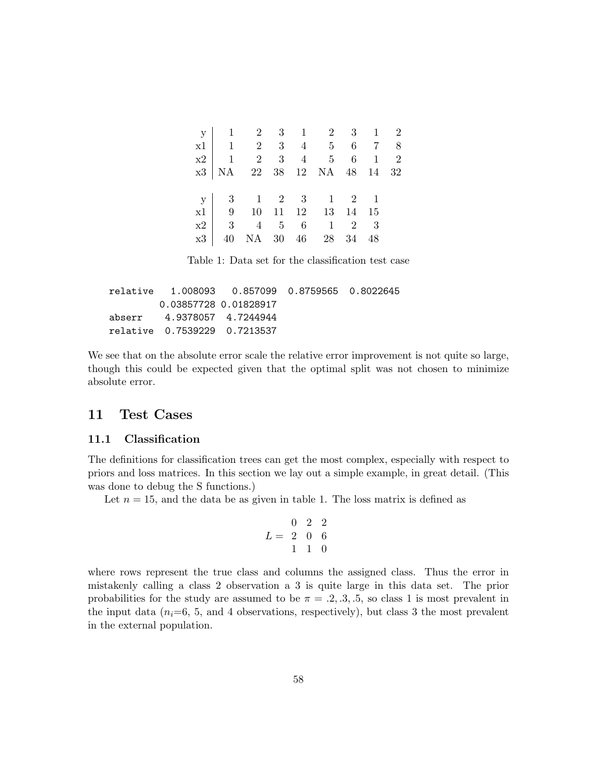| $\begin{array}{c ccccccccc} \rm y & 1 & 2 & 3 & 1 & 2 & 3 & 1 & 2 \\ \rm x1 & 1 & 2 & 3 & 4 & 5 & 6 & 7 & 8 \\ \rm x2 & 1 & 2 & 3 & 4 & 5 & 6 & 1 & 2 \\ \rm x3 & NA & 22 & 38 & 12 & NA & 48 & 14 & 32 \\ \end{array}$ |  |  |  |  |
|-------------------------------------------------------------------------------------------------------------------------------------------------------------------------------------------------------------------------|--|--|--|--|
|                                                                                                                                                                                                                         |  |  |  |  |
|                                                                                                                                                                                                                         |  |  |  |  |
|                                                                                                                                                                                                                         |  |  |  |  |
| $\begin{array}{c cccccc} y & 3 & 1 & 2 & 3 & 1 & 2 & 1 \\ x1 & 9 & 10 & 11 & 12 & 13 & 14 & 15 \end{array}$                                                                                                             |  |  |  |  |
|                                                                                                                                                                                                                         |  |  |  |  |
|                                                                                                                                                                                                                         |  |  |  |  |
| $\begin{array}{c cccccccc} x2 & 3 & 4 & 5 & 6 & 1 & 2 & 3 \\ x3 & 40 & \text{NA} & 30 & 46 & 28 & 34 & 48 \\ \end{array}$                                                                                               |  |  |  |  |
|                                                                                                                                                                                                                         |  |  |  |  |

Table 1: Data set for the classification test case

|                              | relative 1.008093  0.857099  0.8759565  0.8022645 |  |
|------------------------------|---------------------------------------------------|--|
| 0.03857728 0.01828917        |                                                   |  |
| abserr 4.9378057 4.7244944   |                                                   |  |
| relative 0.7539229 0.7213537 |                                                   |  |

We see that on the absolute error scale the relative error improvement is not quite so large, though this could be expected given that the optimal split was not chosen to minimize absolute error.

## 11 Test Cases

## 11.1 Classification

The definitions for classification trees can get the most complex, especially with respect to priors and loss matrices. In this section we lay out a simple example, in great detail. (This was done to debug the S functions.)

Let  $n = 15$ , and the data be as given in table 1. The loss matrix is defined as

$$
L = \begin{array}{ccc} 0 & 2 & 2 \\ 2 & 0 & 6 \\ 1 & 1 & 0 \end{array}
$$

where rows represent the true class and columns the assigned class. Thus the error in mistakenly calling a class 2 observation a 3 is quite large in this data set. The prior probabilities for the study are assumed to be  $\pi = .2, .3, .5$ , so class 1 is most prevalent in the input data  $(n<sub>i</sub>=6, 5,$  and 4 observations, respectively), but class 3 the most prevalent in the external population.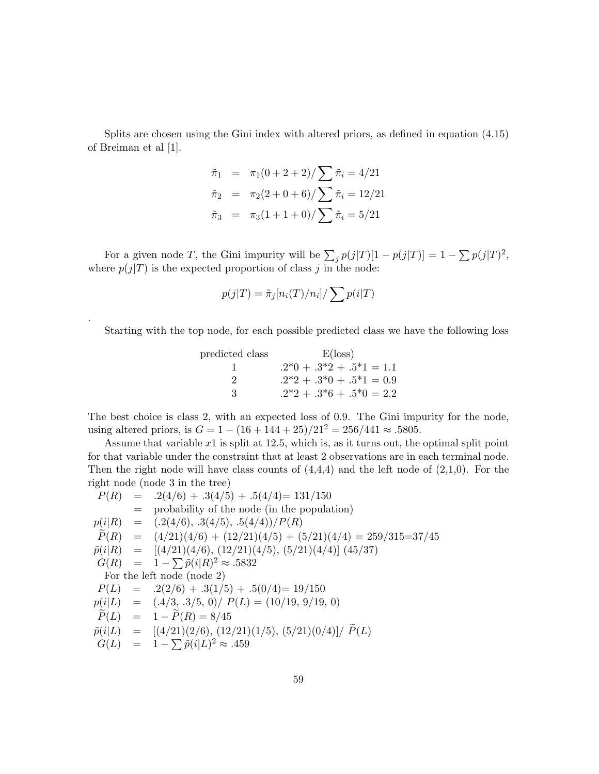Splits are chosen using the Gini index with altered priors, as defined in equation (4.15) of Breiman et al [1].

$$
\tilde{\pi}_1 = \pi_1(0+2+2)/\sum \tilde{\pi}_i = 4/21
$$
  
\n
$$
\tilde{\pi}_2 = \pi_2(2+0+6)/\sum \tilde{\pi}_i = 12/21
$$
  
\n
$$
\tilde{\pi}_3 = \pi_3(1+1+0)/\sum \tilde{\pi}_i = 5/21
$$

For a given node T, the Gini impurity will be  $\sum_j p(j|T)[1-p(j|T)] = 1 - \sum_j p(j|T)^2$ , where  $p(j|T)$  is the expected proportion of class j in the node:

$$
p(j|T) = \tilde{\pi}_j[n_i(T)/n_i]/\sum p(i|T)
$$

.

Starting with the top node, for each possible predicted class we have the following loss

| predicted class | $E(\text{loss})$           |
|-----------------|----------------------------|
|                 | $.2*0 + .3*2 + .5*1 = 1.1$ |
| 9               | $.2*2 + .3*0 + .5*1 = 0.9$ |
| З               | $.2*2 + .3*6 + .5*0 = 2.2$ |

The best choice is class 2, with an expected loss of 0.9. The Gini impurity for the node, using altered priors, is  $G = 1 - (16 + 144 + 25)/21^2 = 256/441 \approx .5805$ .

Assume that variable  $x1$  is split at 12.5, which is, as it turns out, the optimal split point for that variable under the constraint that at least 2 observations are in each terminal node. Then the right node will have class counts of  $(4,4,4)$  and the left node of  $(2,1,0)$ . For the right node (node 3 in the tree)

$$
P(R) = .2(4/6) + .3(4/5) + .5(4/4) = 131/150
$$
  
\n= probability of the node (in the population)  
\n
$$
p(i|R) = (.2(4/6), .3(4/5), .5(4/4))/P(R)
$$
  
\n
$$
\tilde{P}(R) = (4/21)(4/6) + (12/21)(4/5) + (5/21)(4/4) = 259/315=37/45
$$
  
\n
$$
\tilde{p}(i|R) = [(4/21)(4/6), (12/21)(4/5), (5/21)(4/4)]
$$
 (45/37)  
\n
$$
G(R) = 1 - \sum \tilde{p}(i|R)^2 \approx .5832
$$
  
\nFor the left node (node 2)  
\n
$$
P(L) = .2(2/6) + .3(1/5) + .5(0/4) = 19/150
$$
  
\n
$$
p(i|L) = (.4/3, .3/5, 0)/ P(L) = (10/19, 9/19, 0)
$$
  
\n
$$
\tilde{P}(L) = 1 - \tilde{P}(R) = 8/45
$$
  
\n
$$
\tilde{p}(i|L) = [(4/21)(2/6), (12/21)(1/5), (5/21)(0/4)]/\tilde{P}(L)
$$
  
\n
$$
G(L) = 1 - \sum \tilde{p}(i|L)^2 \approx .459
$$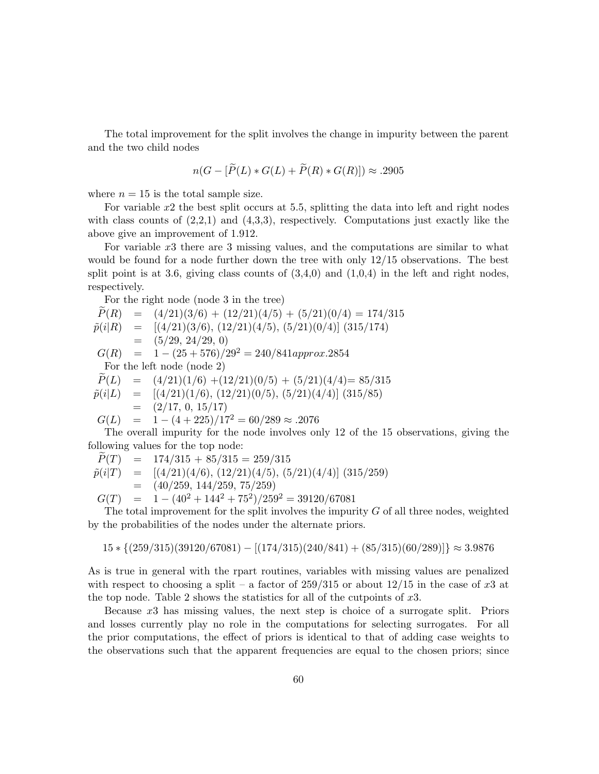The total improvement for the split involves the change in impurity between the parent and the two child nodes

$$
n(G - [\widetilde{P}(L) * G(L) + \widetilde{P}(R) * G(R)]) \approx .2905
$$

where  $n = 15$  is the total sample size.

For variable  $x^2$  the best split occurs at 5.5, splitting the data into left and right nodes with class counts of  $(2,2,1)$  and  $(4,3,3)$ , respectively. Computations just exactly like the above give an improvement of 1.912.

For variable x3 there are 3 missing values, and the computations are similar to what would be found for a node further down the tree with only 12/15 observations. The best split point is at 3.6, giving class counts of  $(3,4,0)$  and  $(1,0,4)$  in the left and right nodes, respectively.

For the right node (node 3 in the tree)

$$
\begin{array}{rcl}\n\widetilde{P}(R) & = & (4/21)(3/6) + (12/21)(4/5) + (5/21)(0/4) = 174/315 \\
\widetilde{p}(i|R) & = & [(4/21)(3/6), (12/21)(4/5), (5/21)(0/4)] \ (315/174) \\
& = & (5/29, 24/29, 0) \\
G(R) & = & 1 - (25 + 576)/29^2 = 240/841 \text{approx}.2854 \\
\text{For the left node (node 2)} \\
\widetilde{P}(L) & = & (4/21)(1/6) + (12/21)(0/5) + (5/21)(4/4) = 85/315 \\
\widetilde{p}(i|L) & = & [(4/21)(1/6), (12/21)(0/5), (5/21)(4/4)] \ (315/85) \\
& = & (2/17, 0, 15/17)\n\end{array}
$$

$$
G(L) = 1 - (4 + 225)/17^2 = 60/289 \approx .2076
$$

The overall impurity for the node involves only 12 of the 15 observations, giving the following values for the top node:

$$
P(T) = 174/315 + 85/315 = 259/315
$$
  
\n
$$
\tilde{p}(i|T) = [(4/21)(4/6), (12/21)(4/5), (5/21)(4/4)]
$$
\n
$$
(315/259)
$$
\n
$$
= (40/259, 144/259, 75/259)
$$

$$
G(T) = 1 - (40^2 + 144^2 + 75^2)/259^2 = 39120/67081
$$

The total improvement for the split involves the impurity  $G$  of all three nodes, weighted by the probabilities of the nodes under the alternate priors.

 $15 * \{(259/315)(39120/67081) - [(174/315)(240/841) + (85/315)(60/289)]\} \approx 3.9876$ 

As is true in general with the rpart routines, variables with missing values are penalized with respect to choosing a split – a factor of  $259/315$  or about  $12/15$  in the case of x3 at the top node. Table 2 shows the statistics for all of the cutpoints of x3.

Because x3 has missing values, the next step is choice of a surrogate split. Priors and losses currently play no role in the computations for selecting surrogates. For all the prior computations, the effect of priors is identical to that of adding case weights to the observations such that the apparent frequencies are equal to the chosen priors; since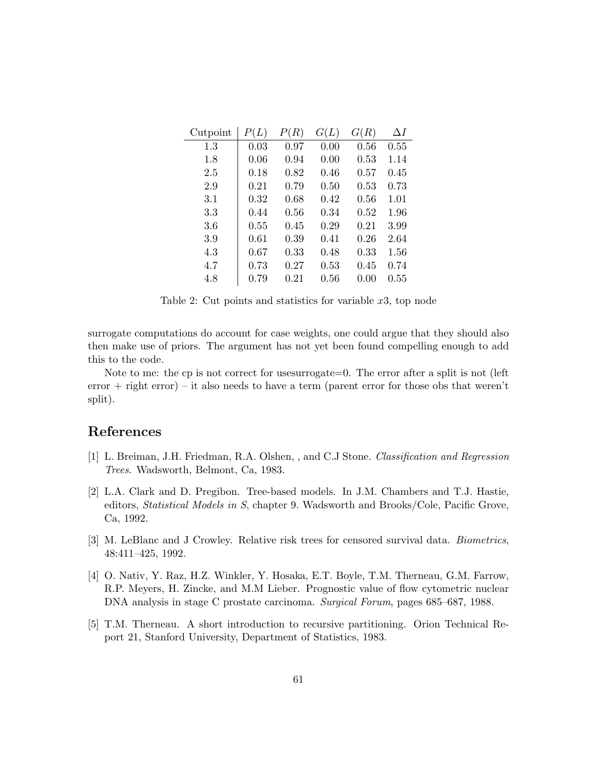| Cutpoint | P(L) | P(R) | G(L) | G(R) | $\Delta I$ |
|----------|------|------|------|------|------------|
| 1.3      | 0.03 | 0.97 | 0.00 | 0.56 | 0.55       |
| 1.8      | 0.06 | 0.94 | 0.00 | 0.53 | 1.14       |
| 2.5      | 0.18 | 0.82 | 0.46 | 0.57 | 0.45       |
| 2.9      | 0.21 | 0.79 | 0.50 | 0.53 | 0.73       |
| 3.1      | 0.32 | 0.68 | 0.42 | 0.56 | 1.01       |
| 3.3      | 0.44 | 0.56 | 0.34 | 0.52 | 1.96       |
| 3.6      | 0.55 | 0.45 | 0.29 | 0.21 | 3.99       |
| 3.9      | 0.61 | 0.39 | 0.41 | 0.26 | 2.64       |
| 4.3      | 0.67 | 0.33 | 0.48 | 0.33 | 1.56       |
| 4.7      | 0.73 | 0.27 | 0.53 | 0.45 | 0.74       |
| 4.8      | 0.79 | 0.21 | 0.56 | 0.00 | 0.55       |

Table 2: Cut points and statistics for variable  $x3$ , top node

surrogate computations do account for case weights, one could argue that they should also then make use of priors. The argument has not yet been found compelling enough to add this to the code.

Note to me: the cp is not correct for usesurrogate=0. The error after a split is not (left  $error + right error) - it also needs to have a term (parent error for those obs that weren't$ split).

## References

- [1] L. Breiman, J.H. Friedman, R.A. Olshen, , and C.J Stone. Classification and Regression Trees. Wadsworth, Belmont, Ca, 1983.
- [2] L.A. Clark and D. Pregibon. Tree-based models. In J.M. Chambers and T.J. Hastie, editors, Statistical Models in S, chapter 9. Wadsworth and Brooks/Cole, Pacific Grove, Ca, 1992.
- [3] M. LeBlanc and J Crowley. Relative risk trees for censored survival data. Biometrics, 48:411–425, 1992.
- [4] O. Nativ, Y. Raz, H.Z. Winkler, Y. Hosaka, E.T. Boyle, T.M. Therneau, G.M. Farrow, R.P. Meyers, H. Zincke, and M.M Lieber. Prognostic value of flow cytometric nuclear DNA analysis in stage C prostate carcinoma. Surgical Forum, pages 685–687, 1988.
- [5] T.M. Therneau. A short introduction to recursive partitioning. Orion Technical Report 21, Stanford University, Department of Statistics, 1983.